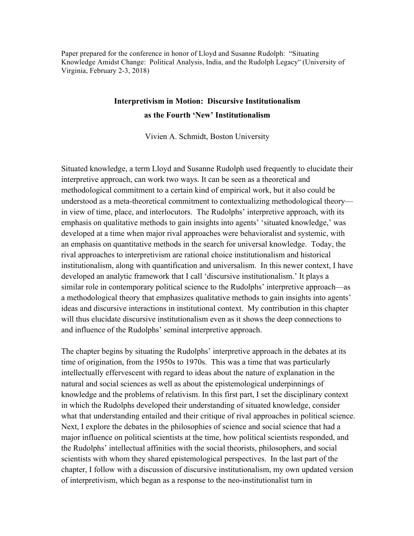Paper prepared for the conference in honor of Lloyd and Susanne Rudolph: "Situating Knowledge Amidst Change: Political Analysis, India, and the Rudolph Legacy" (University of Virginia, February 2-3, 2018)

# **Interpretivism in Motion: Discursive Institutionalism as the Fourth 'New' Institutionalism**

Vivien A. Schmidt, Boston University

Situated knowledge, a term Lloyd and Susanne Rudolph used frequently to elucidate their interpretive approach, can work two ways. It can be seen as a theoretical and methodological commitment to a certain kind of empirical work, but it also could be understood as a meta-theoretical commitment to contextualizing methodological theory in view of time, place, and interlocutors. The Rudolphs' interpretive approach, with its emphasis on qualitative methods to gain insights into agents' 'situated knowledge,' was developed at a time when major rival approaches were behavioralist and systemic, with an emphasis on quantitative methods in the search for universal knowledge. Today, the rival approaches to interpretivism are rational choice institutionalism and historical institutionalism, along with quantification and universalism. In this newer context, I have developed an analytic framework that I call 'discursive institutionalism.' It plays a similar role in contemporary political science to the Rudolphs' interpretive approach—as a methodological theory that emphasizes qualitative methods to gain insights into agents' ideas and discursive interactions in institutional context. My contribution in this chapter will thus elucidate discursive institutionalism even as it shows the deep connections to and influence of the Rudolphs' seminal interpretive approach.

The chapter begins by situating the Rudolphs' interpretive approach in the debates at its time of origination, from the 1950s to 1970s. This was a time that was particularly intellectually effervescent with regard to ideas about the nature of explanation in the natural and social sciences as well as about the epistemological underpinnings of knowledge and the problems of relativism. In this first part, I set the disciplinary context in which the Rudolphs developed their understanding of situated knowledge, consider what that understanding entailed and their critique of rival approaches in political science. Next, I explore the debates in the philosophies of science and social science that had a major influence on political scientists at the time, how political scientists responded, and the Rudolphs' intellectual affinities with the social theorists, philosophers, and social scientists with whom they shared epistemological perspectives. In the last part of the chapter, I follow with a discussion of discursive institutionalism, my own updated version of interpretivism, which began as a response to the neo-institutionalist turn in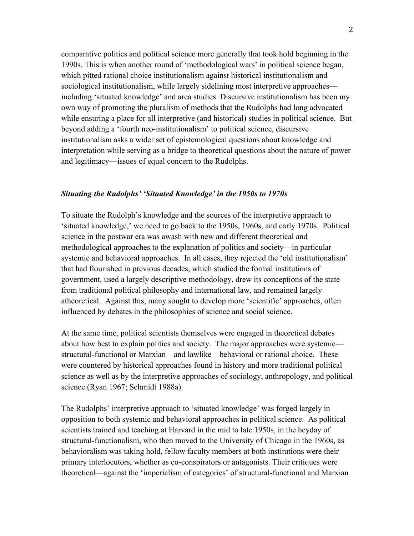comparative politics and political science more generally that took hold beginning in the 1990s. This is when another round of 'methodological wars' in political science began, which pitted rational choice institutionalism against historical institutionalism and sociological institutionalism, while largely sidelining most interpretive approaches including 'situated knowledge' and area studies. Discursive institutionalism has been my own way of promoting the pluralism of methods that the Rudolphs had long advocated while ensuring a place for all interpretive (and historical) studies in political science. But beyond adding a 'fourth neo-institutionalism' to political science, discursive institutionalism asks a wider set of epistemological questions about knowledge and interpretation while serving as a bridge to theoretical questions about the nature of power and legitimacy—issues of equal concern to the Rudolphs.

## *Situating the Rudolphs' 'Situated Knowledge' in the 1950s to 1970s*

To situate the Rudolph's knowledge and the sources of the interpretive approach to 'situated knowledge,' we need to go back to the 1950s, 1960s, and early 1970s. Political science in the postwar era was awash with new and different theoretical and methodological approaches to the explanation of politics and society—in particular systemic and behavioral approaches. In all cases, they rejected the 'old institutionalism' that had flourished in previous decades, which studied the formal institutions of government, used a largely descriptive methodology, drew its conceptions of the state from traditional political philosophy and international law, and remained largely atheoretical. Against this, many sought to develop more 'scientific' approaches, often influenced by debates in the philosophies of science and social science.

At the same time, political scientists themselves were engaged in theoretical debates about how best to explain politics and society. The major approaches were systemic structural-functional or Marxian—and lawlike—behavioral or rational choice. These were countered by historical approaches found in history and more traditional political science as well as by the interpretive approaches of sociology, anthropology, and political science (Ryan 1967; Schmidt 1988a).

The Rudolphs' interpretive approach to 'situated knowledge' was forged largely in opposition to both systemic and behavioral approaches in political science. As political scientists trained and teaching at Harvard in the mid to late 1950s, in the heyday of structural-functionalism, who then moved to the University of Chicago in the 1960s, as behavioralism was taking hold, fellow faculty members at both institutions were their primary interlocutors, whether as co-conspirators or antagonists. Their critiques were theoretical—against the 'imperialism of categories' of structural-functional and Marxian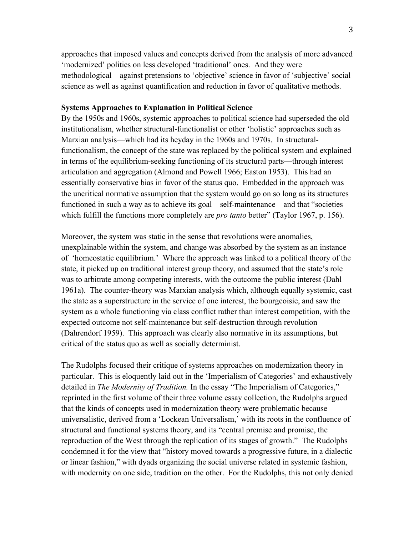approaches that imposed values and concepts derived from the analysis of more advanced 'modernized' polities on less developed 'traditional' ones. And they were methodological—against pretensions to 'objective' science in favor of 'subjective' social science as well as against quantification and reduction in favor of qualitative methods.

#### **Systems Approaches to Explanation in Political Science**

By the 1950s and 1960s, systemic approaches to political science had superseded the old institutionalism, whether structural-functionalist or other 'holistic' approaches such as Marxian analysis—which had its heyday in the 1960s and 1970s. In structuralfunctionalism, the concept of the state was replaced by the political system and explained in terms of the equilibrium-seeking functioning of its structural parts—through interest articulation and aggregation (Almond and Powell 1966; Easton 1953). This had an essentially conservative bias in favor of the status quo. Embedded in the approach was the uncritical normative assumption that the system would go on so long as its structures functioned in such a way as to achieve its goal—self-maintenance—and that "societies which fulfill the functions more completely are *pro tanto* better" (Taylor 1967, p. 156).

Moreover, the system was static in the sense that revolutions were anomalies, unexplainable within the system, and change was absorbed by the system as an instance of 'homeostatic equilibrium.' Where the approach was linked to a political theory of the state, it picked up on traditional interest group theory, and assumed that the state's role was to arbitrate among competing interests, with the outcome the public interest (Dahl 1961a). The counter-theory was Marxian analysis which, although equally systemic, cast the state as a superstructure in the service of one interest, the bourgeoisie, and saw the system as a whole functioning via class conflict rather than interest competition, with the expected outcome not self-maintenance but self-destruction through revolution (Dahrendorf 1959). This approach was clearly also normative in its assumptions, but critical of the status quo as well as socially determinist.

The Rudolphs focused their critique of systems approaches on modernization theory in particular. This is eloquently laid out in the 'Imperialism of Categories' and exhaustively detailed in *The Modernity of Tradition.* In the essay "The Imperialism of Categories," reprinted in the first volume of their three volume essay collection, the Rudolphs argued that the kinds of concepts used in modernization theory were problematic because universalistic, derived from a 'Lockean Universalism,' with its roots in the confluence of structural and functional systems theory, and its "central premise and promise, the reproduction of the West through the replication of its stages of growth." The Rudolphs condemned it for the view that "history moved towards a progressive future, in a dialectic or linear fashion," with dyads organizing the social universe related in systemic fashion, with modernity on one side, tradition on the other. For the Rudolphs, this not only denied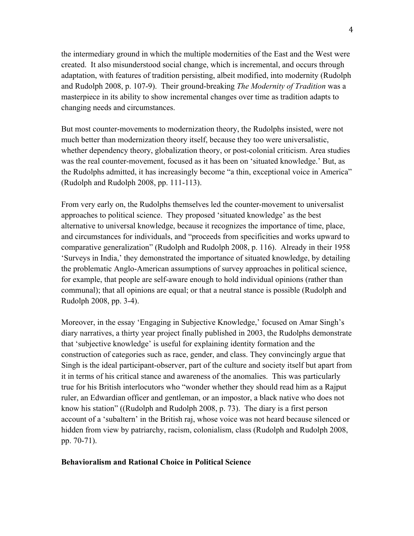the intermediary ground in which the multiple modernities of the East and the West were created. It also misunderstood social change, which is incremental, and occurs through adaptation, with features of tradition persisting, albeit modified, into modernity (Rudolph and Rudolph 2008, p. 107-9). Their ground-breaking *The Modernity of Tradition* was a masterpiece in its ability to show incremental changes over time as tradition adapts to changing needs and circumstances.

But most counter-movements to modernization theory, the Rudolphs insisted, were not much better than modernization theory itself, because they too were universalistic, whether dependency theory, globalization theory, or post-colonial criticism. Area studies was the real counter-movement, focused as it has been on 'situated knowledge.' But, as the Rudolphs admitted, it has increasingly become "a thin, exceptional voice in America" (Rudolph and Rudolph 2008, pp. 111-113).

From very early on, the Rudolphs themselves led the counter-movement to universalist approaches to political science. They proposed 'situated knowledge' as the best alternative to universal knowledge, because it recognizes the importance of time, place, and circumstances for individuals, and "proceeds from specificities and works upward to comparative generalization" (Rudolph and Rudolph 2008, p. 116). Already in their 1958 'Surveys in India,' they demonstrated the importance of situated knowledge, by detailing the problematic Anglo-American assumptions of survey approaches in political science, for example, that people are self-aware enough to hold individual opinions (rather than communal); that all opinions are equal; or that a neutral stance is possible (Rudolph and Rudolph 2008, pp. 3-4).

Moreover, in the essay 'Engaging in Subjective Knowledge,' focused on Amar Singh's diary narratives, a thirty year project finally published in 2003, the Rudolphs demonstrate that 'subjective knowledge' is useful for explaining identity formation and the construction of categories such as race, gender, and class. They convincingly argue that Singh is the ideal participant-observer, part of the culture and society itself but apart from it in terms of his critical stance and awareness of the anomalies. This was particularly true for his British interlocutors who "wonder whether they should read him as a Rajput ruler, an Edwardian officer and gentleman, or an impostor, a black native who does not know his station" ((Rudolph and Rudolph 2008, p. 73). The diary is a first person account of a 'subaltern' in the British raj, whose voice was not heard because silenced or hidden from view by patriarchy, racism, colonialism, class (Rudolph and Rudolph 2008, pp. 70-71).

# **Behavioralism and Rational Choice in Political Science**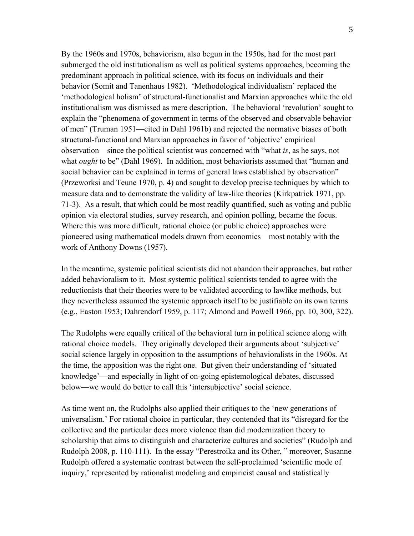By the 1960s and 1970s, behaviorism, also begun in the 1950s, had for the most part submerged the old institutionalism as well as political systems approaches, becoming the predominant approach in political science, with its focus on individuals and their behavior (Somit and Tanenhaus 1982). 'Methodological individualism' replaced the 'methodological holism' of structural-functionalist and Marxian approaches while the old institutionalism was dismissed as mere description. The behavioral 'revolution' sought to explain the "phenomena of government in terms of the observed and observable behavior of men" (Truman 1951—cited in Dahl 1961b) and rejected the normative biases of both structural-functional and Marxian approaches in favor of 'objective' empirical observation—since the political scientist was concerned with "what *is*, as he says, not what *ought* to be" (Dahl 1969). In addition, most behaviorists assumed that "human and social behavior can be explained in terms of general laws established by observation" (Przeworksi and Teune 1970, p. 4) and sought to develop precise techniques by which to measure data and to demonstrate the validity of law-like theories (Kirkpatrick 1971, pp. 71-3). As a result, that which could be most readily quantified, such as voting and public opinion via electoral studies, survey research, and opinion polling, became the focus. Where this was more difficult, rational choice (or public choice) approaches were pioneered using mathematical models drawn from economics—most notably with the work of Anthony Downs (1957).

In the meantime, systemic political scientists did not abandon their approaches, but rather added behavioralism to it. Most systemic political scientists tended to agree with the reductionists that their theories were to be validated according to lawlike methods, but they nevertheless assumed the systemic approach itself to be justifiable on its own terms (e.g., Easton 1953; Dahrendorf 1959, p. 117; Almond and Powell 1966, pp. 10, 300, 322).

The Rudolphs were equally critical of the behavioral turn in political science along with rational choice models. They originally developed their arguments about 'subjective' social science largely in opposition to the assumptions of behavioralists in the 1960s. At the time, the apposition was the right one. But given their understanding of 'situated knowledge'—and especially in light of on-going epistemological debates, discussed below—we would do better to call this 'intersubjective' social science.

As time went on, the Rudolphs also applied their critiques to the 'new generations of universalism.' For rational choice in particular, they contended that its "disregard for the collective and the particular does more violence than did modernization theory to scholarship that aims to distinguish and characterize cultures and societies" (Rudolph and Rudolph 2008, p. 110-111). In the essay "Perestroika and its Other, " moreover, Susanne Rudolph offered a systematic contrast between the self-proclaimed 'scientific mode of inquiry,' represented by rationalist modeling and empiricist causal and statistically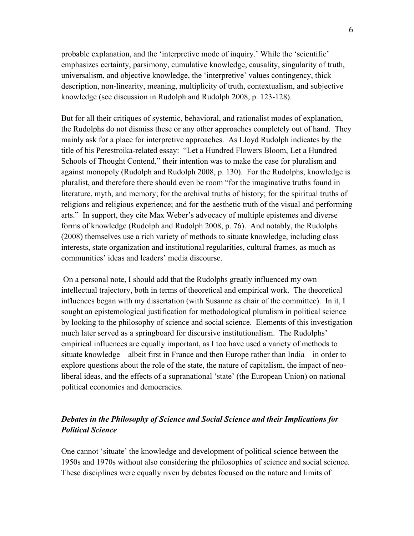probable explanation, and the 'interpretive mode of inquiry.' While the 'scientific' emphasizes certainty, parsimony, cumulative knowledge, causality, singularity of truth, universalism, and objective knowledge, the 'interpretive' values contingency, thick description, non-linearity, meaning, multiplicity of truth, contextualism, and subjective knowledge (see discussion in Rudolph and Rudolph 2008, p. 123-128).

But for all their critiques of systemic, behavioral, and rationalist modes of explanation, the Rudolphs do not dismiss these or any other approaches completely out of hand. They mainly ask for a place for interpretive approaches. As Lloyd Rudolph indicates by the title of his Perestroika-related essay: "Let a Hundred Flowers Bloom, Let a Hundred Schools of Thought Contend," their intention was to make the case for pluralism and against monopoly (Rudolph and Rudolph 2008, p. 130). For the Rudolphs, knowledge is pluralist, and therefore there should even be room "for the imaginative truths found in literature, myth, and memory; for the archival truths of history; for the spiritual truths of religions and religious experience; and for the aesthetic truth of the visual and performing arts." In support, they cite Max Weber's advocacy of multiple epistemes and diverse forms of knowledge (Rudolph and Rudolph 2008, p. 76). And notably, the Rudolphs (2008) themselves use a rich variety of methods to situate knowledge, including class interests, state organization and institutional regularities, cultural frames, as much as communities' ideas and leaders' media discourse.

On a personal note, I should add that the Rudolphs greatly influenced my own intellectual trajectory, both in terms of theoretical and empirical work. The theoretical influences began with my dissertation (with Susanne as chair of the committee). In it, I sought an epistemological justification for methodological pluralism in political science by looking to the philosophy of science and social science. Elements of this investigation much later served as a springboard for discursive institutionalism. The Rudolphs' empirical influences are equally important, as I too have used a variety of methods to situate knowledge—albeit first in France and then Europe rather than India—in order to explore questions about the role of the state, the nature of capitalism, the impact of neoliberal ideas, and the effects of a supranational 'state' (the European Union) on national political economies and democracies.

# *Debates in the Philosophy of Science and Social Science and their Implications for Political Science*

One cannot 'situate' the knowledge and development of political science between the 1950s and 1970s without also considering the philosophies of science and social science. These disciplines were equally riven by debates focused on the nature and limits of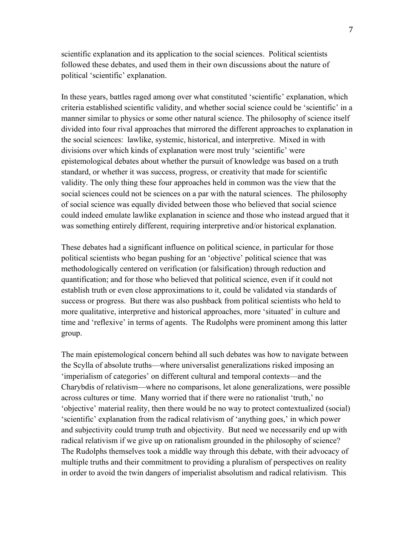scientific explanation and its application to the social sciences. Political scientists followed these debates, and used them in their own discussions about the nature of political 'scientific' explanation.

In these years, battles raged among over what constituted 'scientific' explanation, which criteria established scientific validity, and whether social science could be 'scientific' in a manner similar to physics or some other natural science. The philosophy of science itself divided into four rival approaches that mirrored the different approaches to explanation in the social sciences: lawlike, systemic, historical, and interpretive. Mixed in with divisions over which kinds of explanation were most truly 'scientific' were epistemological debates about whether the pursuit of knowledge was based on a truth standard, or whether it was success, progress, or creativity that made for scientific validity. The only thing these four approaches held in common was the view that the social sciences could not be sciences on a par with the natural sciences. The philosophy of social science was equally divided between those who believed that social science could indeed emulate lawlike explanation in science and those who instead argued that it was something entirely different, requiring interpretive and/or historical explanation.

These debates had a significant influence on political science, in particular for those political scientists who began pushing for an 'objective' political science that was methodologically centered on verification (or falsification) through reduction and quantification; and for those who believed that political science, even if it could not establish truth or even close approximations to it, could be validated via standards of success or progress. But there was also pushback from political scientists who held to more qualitative, interpretive and historical approaches, more 'situated' in culture and time and 'reflexive' in terms of agents. The Rudolphs were prominent among this latter group.

The main epistemological concern behind all such debates was how to navigate between the Scylla of absolute truths—where universalist generalizations risked imposing an 'imperialism of categories' on different cultural and temporal contexts—and the Charybdis of relativism—where no comparisons, let alone generalizations, were possible across cultures or time. Many worried that if there were no rationalist 'truth,' no 'objective' material reality, then there would be no way to protect contextualized (social) 'scientific' explanation from the radical relativism of 'anything goes,' in which power and subjectivity could trump truth and objectivity. But need we necessarily end up with radical relativism if we give up on rationalism grounded in the philosophy of science? The Rudolphs themselves took a middle way through this debate, with their advocacy of multiple truths and their commitment to providing a pluralism of perspectives on reality in order to avoid the twin dangers of imperialist absolutism and radical relativism. This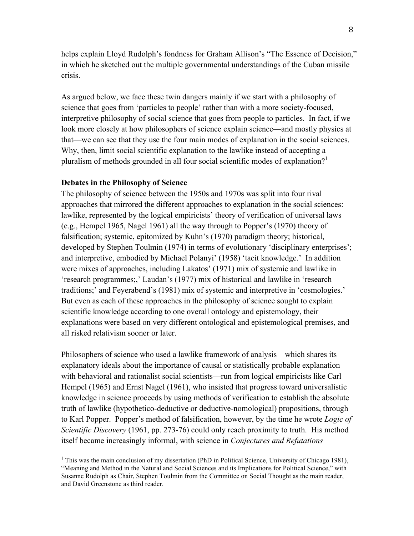helps explain Lloyd Rudolph's fondness for Graham Allison's "The Essence of Decision," in which he sketched out the multiple governmental understandings of the Cuban missile crisis.

As argued below, we face these twin dangers mainly if we start with a philosophy of science that goes from 'particles to people' rather than with a more society-focused, interpretive philosophy of social science that goes from people to particles. In fact, if we look more closely at how philosophers of science explain science—and mostly physics at that—we can see that they use the four main modes of explanation in the social sciences. Why, then, limit social scientific explanation to the lawlike instead of accepting a pluralism of methods grounded in all four social scientific modes of explanation?<sup>1</sup>

## **Debates in the Philosophy of Science**

The philosophy of science between the 1950s and 1970s was split into four rival approaches that mirrored the different approaches to explanation in the social sciences: lawlike, represented by the logical empiricists' theory of verification of universal laws (e.g., Hempel 1965, Nagel 1961) all the way through to Popper's (1970) theory of falsification; systemic, epitomized by Kuhn's (1970) paradigm theory; historical, developed by Stephen Toulmin (1974) in terms of evolutionary 'disciplinary enterprises'; and interpretive, embodied by Michael Polanyi' (1958) 'tacit knowledge.' In addition were mixes of approaches, including Lakatos' (1971) mix of systemic and lawlike in 'research programmes;,' Laudan's (1977) mix of historical and lawlike in 'research traditions;' and Feyerabend's (1981) mix of systemic and interpretive in 'cosmologies.' But even as each of these approaches in the philosophy of science sought to explain scientific knowledge according to one overall ontology and epistemology, their explanations were based on very different ontological and epistemological premises, and all risked relativism sooner or later.

Philosophers of science who used a lawlike framework of analysis—which shares its explanatory ideals about the importance of causal or statistically probable explanation with behavioral and rationalist social scientists—run from logical empiricists like Carl Hempel (1965) and Ernst Nagel (1961), who insisted that progress toward universalistic knowledge in science proceeds by using methods of verification to establish the absolute truth of lawlike (hypothetico-deductive or deductive-nomological) propositions, through to Karl Popper. Popper's method of falsification, however, by the time he wrote *Logic of Scientific Discovery* (1961, pp. 273-76) could only reach proximity to truth. His method itself became increasingly informal, with science in *Conjectures and Refutations*

<sup>&</sup>lt;sup>1</sup> This was the main conclusion of my dissertation (PhD in Political Science, University of Chicago 1981), "Meaning and Method in the Natural and Social Sciences and its Implications for Political Science," with Susanne Rudolph as Chair, Stephen Toulmin from the Committee on Social Thought as the main reader, and David Greenstone as third reader.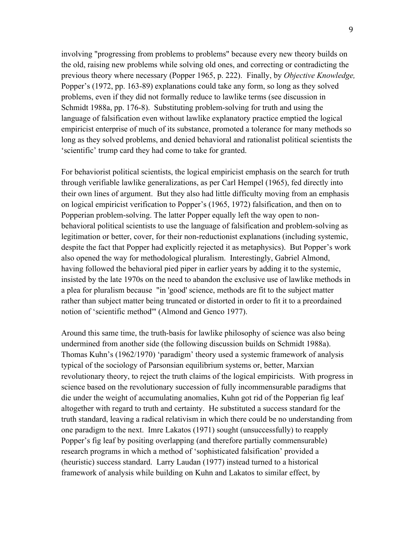involving "progressing from problems to problems" because every new theory builds on the old, raising new problems while solving old ones, and correcting or contradicting the previous theory where necessary (Popper 1965, p. 222). Finally, by *Objective Knowledge,* Popper's (1972, pp. 163-89) explanations could take any form, so long as they solved problems, even if they did not formally reduce to lawlike terms (see discussion in Schmidt 1988a, pp. 176-8). Substituting problem-solving for truth and using the language of falsification even without lawlike explanatory practice emptied the logical empiricist enterprise of much of its substance, promoted a tolerance for many methods so long as they solved problems, and denied behavioral and rationalist political scientists the 'scientific' trump card they had come to take for granted.

For behaviorist political scientists, the logical empiricist emphasis on the search for truth through verifiable lawlike generalizations, as per Carl Hempel (1965), fed directly into their own lines of argument. But they also had little difficulty moving from an emphasis on logical empiricist verification to Popper's (1965, 1972) falsification, and then on to Popperian problem-solving. The latter Popper equally left the way open to nonbehavioral political scientists to use the language of falsification and problem-solving as legitimation or better, cover, for their non-reductionist explanations (including systemic, despite the fact that Popper had explicitly rejected it as metaphysics). But Popper's work also opened the way for methodological pluralism. Interestingly, Gabriel Almond, having followed the behavioral pied piper in earlier years by adding it to the systemic, insisted by the late 1970s on the need to abandon the exclusive use of lawlike methods in a plea for pluralism because "in 'good' science, methods are fit to the subject matter rather than subject matter being truncated or distorted in order to fit it to a preordained notion of 'scientific method'" (Almond and Genco 1977).

Around this same time, the truth-basis for lawlike philosophy of science was also being undermined from another side (the following discussion builds on Schmidt 1988a). Thomas Kuhn's (1962/1970) 'paradigm' theory used a systemic framework of analysis typical of the sociology of Parsonsian equilibrium systems or, better, Marxian revolutionary theory, to reject the truth claims of the logical empiricists. With progress in science based on the revolutionary succession of fully incommensurable paradigms that die under the weight of accumulating anomalies, Kuhn got rid of the Popperian fig leaf altogether with regard to truth and certainty. He substituted a success standard for the truth standard, leaving a radical relativism in which there could be no understanding from one paradigm to the next. Imre Lakatos (1971) sought (unsuccessfully) to reapply Popper's fig leaf by positing overlapping (and therefore partially commensurable) research programs in which a method of 'sophisticated falsification' provided a (heuristic) success standard. Larry Laudan (1977) instead turned to a historical framework of analysis while building on Kuhn and Lakatos to similar effect, by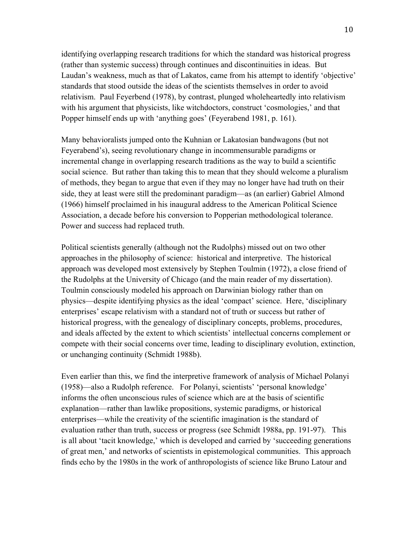identifying overlapping research traditions for which the standard was historical progress (rather than systemic success) through continues and discontinuities in ideas. But Laudan's weakness, much as that of Lakatos, came from his attempt to identify 'objective' standards that stood outside the ideas of the scientists themselves in order to avoid relativism. Paul Feyerbend (1978), by contrast, plunged wholeheartedly into relativism with his argument that physicists, like witchdoctors, construct 'cosmologies,' and that Popper himself ends up with 'anything goes' (Feyerabend 1981, p. 161).

Many behavioralists jumped onto the Kuhnian or Lakatosian bandwagons (but not Feyerabend's), seeing revolutionary change in incommensurable paradigms or incremental change in overlapping research traditions as the way to build a scientific social science. But rather than taking this to mean that they should welcome a pluralism of methods, they began to argue that even if they may no longer have had truth on their side, they at least were still the predominant paradigm—as (an earlier) Gabriel Almond (1966) himself proclaimed in his inaugural address to the American Political Science Association, a decade before his conversion to Popperian methodological tolerance. Power and success had replaced truth.

Political scientists generally (although not the Rudolphs) missed out on two other approaches in the philosophy of science: historical and interpretive. The historical approach was developed most extensively by Stephen Toulmin (1972), a close friend of the Rudolphs at the University of Chicago (and the main reader of my dissertation). Toulmin consciously modeled his approach on Darwinian biology rather than on physics—despite identifying physics as the ideal 'compact' science. Here, 'disciplinary enterprises' escape relativism with a standard not of truth or success but rather of historical progress, with the genealogy of disciplinary concepts, problems, procedures, and ideals affected by the extent to which scientists' intellectual concerns complement or compete with their social concerns over time, leading to disciplinary evolution, extinction, or unchanging continuity (Schmidt 1988b).

Even earlier than this, we find the interpretive framework of analysis of Michael Polanyi (1958)—also a Rudolph reference. For Polanyi, scientists' 'personal knowledge' informs the often unconscious rules of science which are at the basis of scientific explanation—rather than lawlike propositions, systemic paradigms, or historical enterprises—while the creativity of the scientific imagination is the standard of evaluation rather than truth, success or progress (see Schmidt 1988a, pp. 191-97). This is all about 'tacit knowledge,' which is developed and carried by 'succeeding generations of great men,' and networks of scientists in epistemological communities. This approach finds echo by the 1980s in the work of anthropologists of science like Bruno Latour and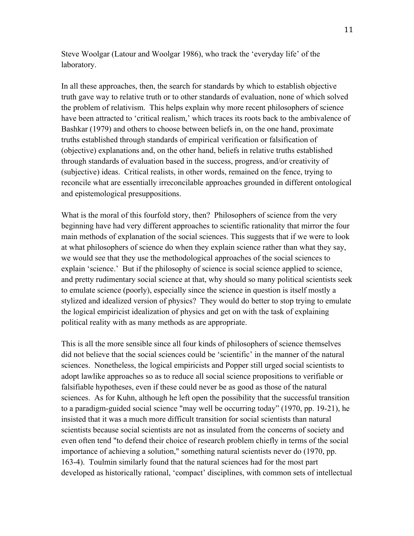Steve Woolgar (Latour and Woolgar 1986), who track the 'everyday life' of the laboratory.

In all these approaches, then, the search for standards by which to establish objective truth gave way to relative truth or to other standards of evaluation, none of which solved the problem of relativism. This helps explain why more recent philosophers of science have been attracted to 'critical realism,' which traces its roots back to the ambivalence of Bashkar (1979) and others to choose between beliefs in, on the one hand, proximate truths established through standards of empirical verification or falsification of (objective) explanations and, on the other hand, beliefs in relative truths established through standards of evaluation based in the success, progress, and/or creativity of (subjective) ideas. Critical realists, in other words, remained on the fence, trying to reconcile what are essentially irreconcilable approaches grounded in different ontological and epistemological presuppositions.

What is the moral of this fourfold story, then? Philosophers of science from the very beginning have had very different approaches to scientific rationality that mirror the four main methods of explanation of the social sciences. This suggests that if we were to look at what philosophers of science do when they explain science rather than what they say, we would see that they use the methodological approaches of the social sciences to explain 'science.' But if the philosophy of science is social science applied to science, and pretty rudimentary social science at that, why should so many political scientists seek to emulate science (poorly), especially since the science in question is itself mostly a stylized and idealized version of physics? They would do better to stop trying to emulate the logical empiricist idealization of physics and get on with the task of explaining political reality with as many methods as are appropriate.

This is all the more sensible since all four kinds of philosophers of science themselves did not believe that the social sciences could be 'scientific' in the manner of the natural sciences. Nonetheless, the logical empiricists and Popper still urged social scientists to adopt lawlike approaches so as to reduce all social science propositions to verifiable or falsifiable hypotheses, even if these could never be as good as those of the natural sciences. As for Kuhn, although he left open the possibility that the successful transition to a paradigm-guided social science "may well be occurring today" (1970, pp. 19-21), he insisted that it was a much more difficult transition for social scientists than natural scientists because social scientists are not as insulated from the concerns of society and even often tend "to defend their choice of research problem chiefly in terms of the social importance of achieving a solution," something natural scientists never do (1970, pp. 163-4). Toulmin similarly found that the natural sciences had for the most part developed as historically rational, 'compact' disciplines, with common sets of intellectual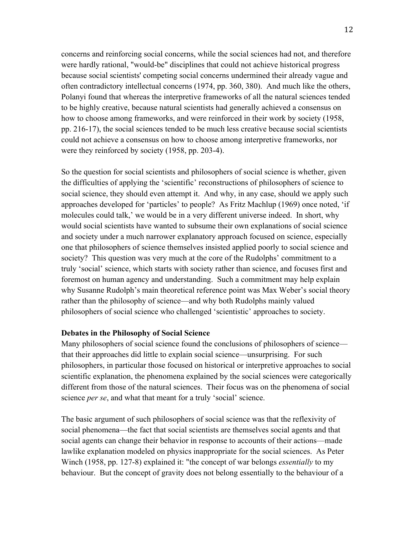concerns and reinforcing social concerns, while the social sciences had not, and therefore were hardly rational, "would-be" disciplines that could not achieve historical progress because social scientists' competing social concerns undermined their already vague and often contradictory intellectual concerns (1974, pp. 360, 380). And much like the others, Polanyi found that whereas the interpretive frameworks of all the natural sciences tended to be highly creative, because natural scientists had generally achieved a consensus on how to choose among frameworks, and were reinforced in their work by society (1958, pp. 216-17), the social sciences tended to be much less creative because social scientists could not achieve a consensus on how to choose among interpretive frameworks, nor were they reinforced by society (1958, pp. 203-4).

So the question for social scientists and philosophers of social science is whether, given the difficulties of applying the 'scientific' reconstructions of philosophers of science to social science, they should even attempt it. And why, in any case, should we apply such approaches developed for 'particles' to people? As Fritz Machlup (1969) once noted, 'if molecules could talk,' we would be in a very different universe indeed. In short, why would social scientists have wanted to subsume their own explanations of social science and society under a much narrower explanatory approach focused on science, especially one that philosophers of science themselves insisted applied poorly to social science and society? This question was very much at the core of the Rudolphs' commitment to a truly 'social' science, which starts with society rather than science, and focuses first and foremost on human agency and understanding. Such a commitment may help explain why Susanne Rudolph's main theoretical reference point was Max Weber's social theory rather than the philosophy of science—and why both Rudolphs mainly valued philosophers of social science who challenged 'scientistic' approaches to society.

#### **Debates in the Philosophy of Social Science**

Many philosophers of social science found the conclusions of philosophers of science that their approaches did little to explain social science—unsurprising. For such philosophers, in particular those focused on historical or interpretive approaches to social scientific explanation, the phenomena explained by the social sciences were categorically different from those of the natural sciences. Their focus was on the phenomena of social science *per se*, and what that meant for a truly 'social' science.

The basic argument of such philosophers of social science was that the reflexivity of social phenomena—the fact that social scientists are themselves social agents and that social agents can change their behavior in response to accounts of their actions—made lawlike explanation modeled on physics inappropriate for the social sciences. As Peter Winch (1958, pp. 127-8) explained it: "the concept of war belongs *essentially* to my behaviour. But the concept of gravity does not belong essentially to the behaviour of a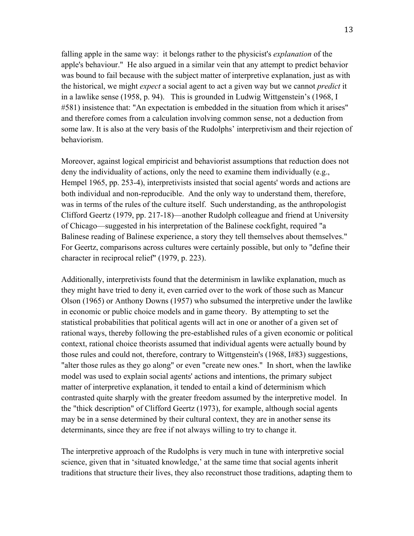falling apple in the same way: it belongs rather to the physicist's *explanation* of the apple's behaviour." He also argued in a similar vein that any attempt to predict behavior was bound to fail because with the subject matter of interpretive explanation, just as with the historical, we might *expect* a social agent to act a given way but we cannot *predict* it in a lawlike sense (1958, p. 94). This is grounded in Ludwig Wittgenstein's (1968, I #581) insistence that: "An expectation is embedded in the situation from which it arises" and therefore comes from a calculation involving common sense, not a deduction from some law. It is also at the very basis of the Rudolphs' interpretivism and their rejection of behaviorism.

Moreover, against logical empiricist and behaviorist assumptions that reduction does not deny the individuality of actions, only the need to examine them individually (e.g., Hempel 1965, pp. 253-4), interpretivists insisted that social agents' words and actions are both individual and non-reproducible. And the only way to understand them, therefore, was in terms of the rules of the culture itself. Such understanding, as the anthropologist Clifford Geertz (1979, pp. 217-18)—another Rudolph colleague and friend at University of Chicago—suggested in his interpretation of the Balinese cockfight, required "a Balinese reading of Balinese experience, a story they tell themselves about themselves." For Geertz, comparisons across cultures were certainly possible, but only to "define their character in reciprocal relief" (1979, p. 223).

Additionally, interpretivists found that the determinism in lawlike explanation, much as they might have tried to deny it, even carried over to the work of those such as Mancur Olson (1965) or Anthony Downs (1957) who subsumed the interpretive under the lawlike in economic or public choice models and in game theory. By attempting to set the statistical probabilities that political agents will act in one or another of a given set of rational ways, thereby following the pre-established rules of a given economic or political context, rational choice theorists assumed that individual agents were actually bound by those rules and could not, therefore, contrary to Wittgenstein's (1968, I#83) suggestions, "alter those rules as they go along" or even "create new ones." In short, when the lawlike model was used to explain social agents' actions and intentions, the primary subject matter of interpretive explanation, it tended to entail a kind of determinism which contrasted quite sharply with the greater freedom assumed by the interpretive model. In the "thick description" of Clifford Geertz (1973), for example, although social agents may be in a sense determined by their cultural context, they are in another sense its determinants, since they are free if not always willing to try to change it.

The interpretive approach of the Rudolphs is very much in tune with interpretive social science, given that in 'situated knowledge,' at the same time that social agents inherit traditions that structure their lives, they also reconstruct those traditions, adapting them to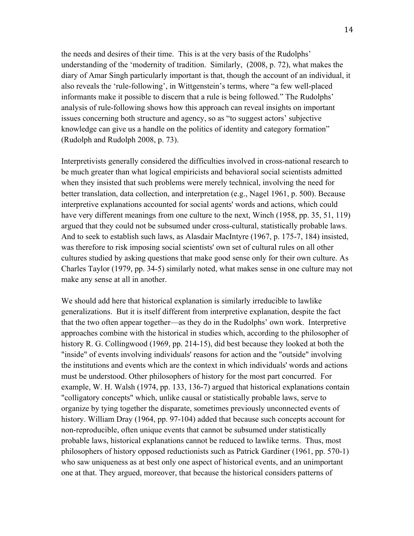the needs and desires of their time.This is at the very basis of the Rudolphs' understanding of the 'modernity of tradition. Similarly, (2008, p. 72), what makes the diary of Amar Singh particularly important is that, though the account of an individual, it also reveals the 'rule-following', in Wittgenstein's terms, where "a few well-placed informants make it possible to discern that a rule is being followed." The Rudolphs' analysis of rule-following shows how this approach can reveal insights on important issues concerning both structure and agency, so as "to suggest actors' subjective knowledge can give us a handle on the politics of identity and category formation" (Rudolph and Rudolph 2008, p. 73).

Interpretivists generally considered the difficulties involved in cross-national research to be much greater than what logical empiricists and behavioral social scientists admitted when they insisted that such problems were merely technical, involving the need for better translation, data collection, and interpretation (e.g., Nagel 1961, p. 500). Because interpretive explanations accounted for social agents' words and actions, which could have very different meanings from one culture to the next, Winch (1958, pp. 35, 51, 119) argued that they could not be subsumed under cross-cultural, statistically probable laws. And to seek to establish such laws, as Alasdair MacIntyre (1967, p. 175-7, 184) insisted, was therefore to risk imposing social scientists' own set of cultural rules on all other cultures studied by asking questions that make good sense only for their own culture. As Charles Taylor (1979, pp. 34-5) similarly noted, what makes sense in one culture may not make any sense at all in another.

We should add here that historical explanation is similarly irreducible to lawlike generalizations. But it is itself different from interpretive explanation, despite the fact that the two often appear together—as they do in the Rudolphs' own work. Interpretive approaches combine with the historical in studies which, according to the philosopher of history R. G. Collingwood (1969, pp. 214-15), did best because they looked at both the "inside" of events involving individuals' reasons for action and the "outside" involving the institutions and events which are the context in which individuals' words and actions must be understood. Other philosophers of history for the most part concurred. For example, W. H. Walsh (1974, pp. 133, 136-7) argued that historical explanations contain "colligatory concepts" which, unlike causal or statistically probable laws, serve to organize by tying together the disparate, sometimes previously unconnected events of history. William Dray (1964, pp. 97-104) added that because such concepts account for non-reproducible, often unique events that cannot be subsumed under statistically probable laws, historical explanations cannot be reduced to lawlike terms. Thus, most philosophers of history opposed reductionists such as Patrick Gardiner (1961, pp. 570-1) who saw uniqueness as at best only one aspect of historical events, and an unimportant one at that. They argued, moreover, that because the historical considers patterns of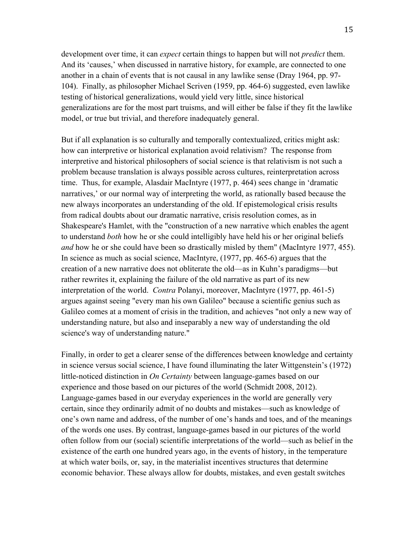development over time, it can *expect* certain things to happen but will not *predict* them. And its 'causes,' when discussed in narrative history, for example, are connected to one another in a chain of events that is not causal in any lawlike sense (Dray 1964, pp. 97- 104). Finally, as philosopher Michael Scriven (1959, pp. 464-6) suggested, even lawlike testing of historical generalizations, would yield very little, since historical generalizations are for the most part truisms, and will either be false if they fit the lawlike model, or true but trivial, and therefore inadequately general.

But if all explanation is so culturally and temporally contextualized, critics might ask: how can interpretive or historical explanation avoid relativism? The response from interpretive and historical philosophers of social science is that relativism is not such a problem because translation is always possible across cultures, reinterpretation across time. Thus, for example, Alasdair MacIntyre (1977, p. 464) sees change in 'dramatic narratives,' or our normal way of interpreting the world, as rationally based because the new always incorporates an understanding of the old. If epistemological crisis results from radical doubts about our dramatic narrative, crisis resolution comes, as in Shakespeare's Hamlet, with the "construction of a new narrative which enables the agent to understand *both* how he or she could intelligibly have held his or her original beliefs *and* how he or she could have been so drastically misled by them" (MacIntyre 1977, 455). In science as much as social science, MacIntyre, (1977, pp. 465-6) argues that the creation of a new narrative does not obliterate the old—as in Kuhn's paradigms—but rather rewrites it, explaining the failure of the old narrative as part of its new interpretation of the world. *Contra* Polanyi, moreover, MacIntyre (1977, pp. 461-5) argues against seeing "every man his own Galileo" because a scientific genius such as Galileo comes at a moment of crisis in the tradition, and achieves "not only a new way of understanding nature, but also and inseparably a new way of understanding the old science's way of understanding nature."

Finally, in order to get a clearer sense of the differences between knowledge and certainty in science versus social science, I have found illuminating the later Wittgenstein's (1972) little-noticed distinction in *On Certainty* between language-games based on our experience and those based on our pictures of the world (Schmidt 2008, 2012). Language-games based in our everyday experiences in the world are generally very certain, since they ordinarily admit of no doubts and mistakes—such as knowledge of one's own name and address, of the number of one's hands and toes, and of the meanings of the words one uses. By contrast, language-games based in our pictures of the world often follow from our (social) scientific interpretations of the world—such as belief in the existence of the earth one hundred years ago, in the events of history, in the temperature at which water boils, or, say, in the materialist incentives structures that determine economic behavior. These always allow for doubts, mistakes, and even gestalt switches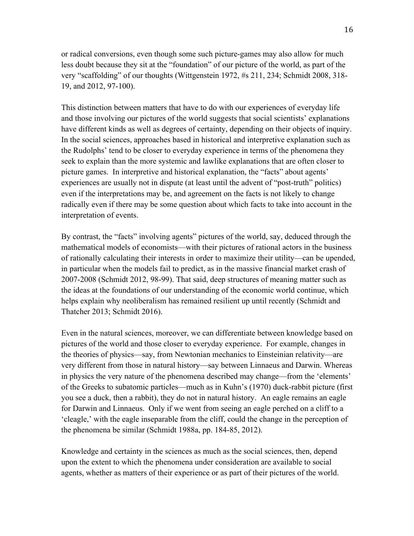or radical conversions, even though some such picture-games may also allow for much less doubt because they sit at the "foundation" of our picture of the world, as part of the very "scaffolding" of our thoughts (Wittgenstein 1972, #s 211, 234; Schmidt 2008, 318- 19, and 2012, 97-100).

This distinction between matters that have to do with our experiences of everyday life and those involving our pictures of the world suggests that social scientists' explanations have different kinds as well as degrees of certainty, depending on their objects of inquiry. In the social sciences, approaches based in historical and interpretive explanation such as the Rudolphs' tend to be closer to everyday experience in terms of the phenomena they seek to explain than the more systemic and lawlike explanations that are often closer to picture games. In interpretive and historical explanation, the "facts" about agents' experiences are usually not in dispute (at least until the advent of "post-truth" politics) even if the interpretations may be, and agreement on the facts is not likely to change radically even if there may be some question about which facts to take into account in the interpretation of events.

By contrast, the "facts" involving agents" pictures of the world, say, deduced through the mathematical models of economists—with their pictures of rational actors in the business of rationally calculating their interests in order to maximize their utility—can be upended, in particular when the models fail to predict, as in the massive financial market crash of 2007-2008 (Schmidt 2012, 98-99). That said, deep structures of meaning matter such as the ideas at the foundations of our understanding of the economic world continue, which helps explain why neoliberalism has remained resilient up until recently (Schmidt and Thatcher 2013; Schmidt 2016).

Even in the natural sciences, moreover, we can differentiate between knowledge based on pictures of the world and those closer to everyday experience. For example, changes in the theories of physics—say, from Newtonian mechanics to Einsteinian relativity—are very different from those in natural history—say between Linnaeus and Darwin. Whereas in physics the very nature of the phenomena described may change—from the 'elements' of the Greeks to subatomic particles—much as in Kuhn's (1970) duck-rabbit picture (first you see a duck, then a rabbit), they do not in natural history. An eagle remains an eagle for Darwin and Linnaeus. Only if we went from seeing an eagle perched on a cliff to a 'cleagle,' with the eagle inseparable from the cliff, could the change in the perception of the phenomena be similar (Schmidt 1988a, pp. 184-85, 2012).

Knowledge and certainty in the sciences as much as the social sciences, then, depend upon the extent to which the phenomena under consideration are available to social agents, whether as matters of their experience or as part of their pictures of the world.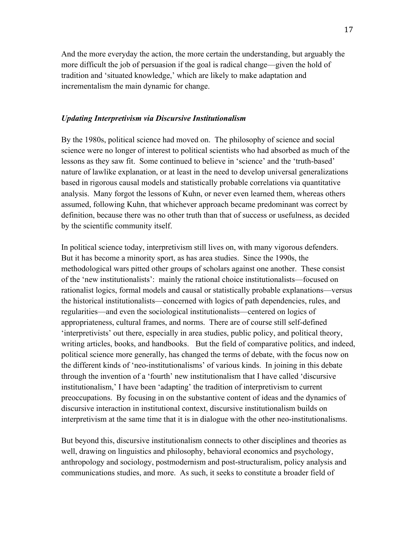And the more everyday the action, the more certain the understanding, but arguably the more difficult the job of persuasion if the goal is radical change—given the hold of tradition and 'situated knowledge,' which are likely to make adaptation and incrementalism the main dynamic for change.

#### *Updating Interpretivism via Discursive Institutionalism*

By the 1980s, political science had moved on. The philosophy of science and social science were no longer of interest to political scientists who had absorbed as much of the lessons as they saw fit. Some continued to believe in 'science' and the 'truth-based' nature of lawlike explanation, or at least in the need to develop universal generalizations based in rigorous causal models and statistically probable correlations via quantitative analysis. Many forgot the lessons of Kuhn, or never even learned them, whereas others assumed, following Kuhn, that whichever approach became predominant was correct by definition, because there was no other truth than that of success or usefulness, as decided by the scientific community itself.

In political science today, interpretivism still lives on, with many vigorous defenders. But it has become a minority sport, as has area studies. Since the 1990s, the methodological wars pitted other groups of scholars against one another. These consist of the 'new institutionalists': mainly the rational choice institutionalists—focused on rationalist logics, formal models and causal or statistically probable explanations—versus the historical institutionalists—concerned with logics of path dependencies, rules, and regularities—and even the sociological institutionalists—centered on logics of appropriateness, cultural frames, and norms. There are of course still self-defined 'interpretivists' out there, especially in area studies, public policy, and political theory, writing articles, books, and handbooks. But the field of comparative politics, and indeed, political science more generally, has changed the terms of debate, with the focus now on the different kinds of 'neo-institutionalisms' of various kinds. In joining in this debate through the invention of a 'fourth' new institutionalism that I have called 'discursive institutionalism,' I have been 'adapting' the tradition of interpretivism to current preoccupations. By focusing in on the substantive content of ideas and the dynamics of discursive interaction in institutional context, discursive institutionalism builds on interpretivism at the same time that it is in dialogue with the other neo-institutionalisms.

But beyond this, discursive institutionalism connects to other disciplines and theories as well, drawing on linguistics and philosophy, behavioral economics and psychology, anthropology and sociology, postmodernism and post-structuralism, policy analysis and communications studies, and more. As such, it seeks to constitute a broader field of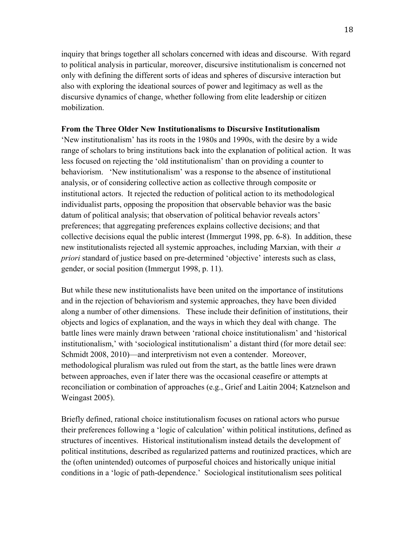inquiry that brings together all scholars concerned with ideas and discourse. With regard to political analysis in particular, moreover, discursive institutionalism is concerned not only with defining the different sorts of ideas and spheres of discursive interaction but also with exploring the ideational sources of power and legitimacy as well as the discursive dynamics of change, whether following from elite leadership or citizen mobilization.

#### **From the Three Older New Institutionalisms to Discursive Institutionalism**

'New institutionalism' has its roots in the 1980s and 1990s, with the desire by a wide range of scholars to bring institutions back into the explanation of political action. It was less focused on rejecting the 'old institutionalism' than on providing a counter to behaviorism. 'New institutionalism' was a response to the absence of institutional analysis, or of considering collective action as collective through composite or institutional actors. It rejected the reduction of political action to its methodological individualist parts, opposing the proposition that observable behavior was the basic datum of political analysis; that observation of political behavior reveals actors' preferences; that aggregating preferences explains collective decisions; and that collective decisions equal the public interest (Immergut 1998, pp. 6-8). In addition, these new institutionalists rejected all systemic approaches, including Marxian, with their *a priori* standard of justice based on pre-determined 'objective' interests such as class, gender, or social position (Immergut 1998, p. 11).

But while these new institutionalists have been united on the importance of institutions and in the rejection of behaviorism and systemic approaches, they have been divided along a number of other dimensions. These include their definition of institutions, their objects and logics of explanation, and the ways in which they deal with change. The battle lines were mainly drawn between 'rational choice institutionalism' and 'historical institutionalism,' with 'sociological institutionalism' a distant third (for more detail see: Schmidt 2008, 2010)—and interpretivism not even a contender. Moreover, methodological pluralism was ruled out from the start, as the battle lines were drawn between approaches, even if later there was the occasional ceasefire or attempts at reconciliation or combination of approaches (e.g., Grief and Laitin 2004; Katznelson and Weingast 2005).

Briefly defined, rational choice institutionalism focuses on rational actors who pursue their preferences following a 'logic of calculation' within political institutions, defined as structures of incentives. Historical institutionalism instead details the development of political institutions, described as regularized patterns and routinized practices, which are the (often unintended) outcomes of purposeful choices and historically unique initial conditions in a 'logic of path-dependence.' Sociological institutionalism sees political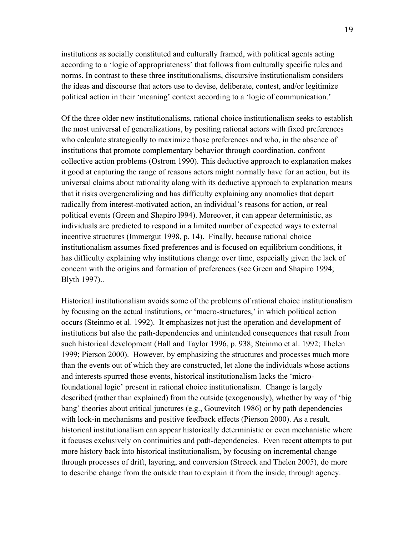institutions as socially constituted and culturally framed, with political agents acting according to a 'logic of appropriateness' that follows from culturally specific rules and norms. In contrast to these three institutionalisms, discursive institutionalism considers the ideas and discourse that actors use to devise, deliberate, contest, and/or legitimize political action in their 'meaning' context according to a 'logic of communication.'

Of the three older new institutionalisms, rational choice institutionalism seeks to establish the most universal of generalizations, by positing rational actors with fixed preferences who calculate strategically to maximize those preferences and who, in the absence of institutions that promote complementary behavior through coordination, confront collective action problems (Ostrom 1990). This deductive approach to explanation makes it good at capturing the range of reasons actors might normally have for an action, but its universal claims about rationality along with its deductive approach to explanation means that it risks overgeneralizing and has difficulty explaining any anomalies that depart radically from interest-motivated action, an individual's reasons for action, or real political events (Green and Shapiro l994). Moreover, it can appear deterministic, as individuals are predicted to respond in a limited number of expected ways to external incentive structures (Immergut 1998, p. 14). Finally, because rational choice institutionalism assumes fixed preferences and is focused on equilibrium conditions, it has difficulty explaining why institutions change over time, especially given the lack of concern with the origins and formation of preferences (see Green and Shapiro 1994; Blyth 1997)..

Historical institutionalism avoids some of the problems of rational choice institutionalism by focusing on the actual institutions, or 'macro-structures,' in which political action occurs (Steinmo et al. 1992). It emphasizes not just the operation and development of institutions but also the path-dependencies and unintended consequences that result from such historical development (Hall and Taylor 1996, p. 938; Steinmo et al. 1992; Thelen 1999; Pierson 2000). However, by emphasizing the structures and processes much more than the events out of which they are constructed, let alone the individuals whose actions and interests spurred those events, historical institutionalism lacks the 'microfoundational logic' present in rational choice institutionalism. Change is largely described (rather than explained) from the outside (exogenously), whether by way of 'big bang' theories about critical junctures (e.g., Gourevitch 1986) or by path dependencies with lock-in mechanisms and positive feedback effects (Pierson 2000). As a result, historical institutionalism can appear historically deterministic or even mechanistic where it focuses exclusively on continuities and path-dependencies. Even recent attempts to put more history back into historical institutionalism, by focusing on incremental change through processes of drift, layering, and conversion (Streeck and Thelen 2005), do more to describe change from the outside than to explain it from the inside, through agency.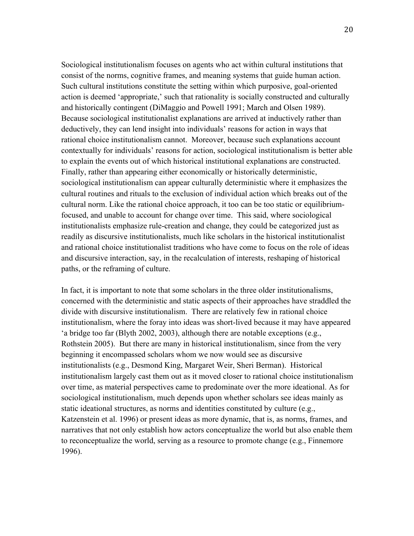Sociological institutionalism focuses on agents who act within cultural institutions that consist of the norms, cognitive frames, and meaning systems that guide human action. Such cultural institutions constitute the setting within which purposive, goal-oriented action is deemed 'appropriate,' such that rationality is socially constructed and culturally and historically contingent (DiMaggio and Powell 1991; March and Olsen 1989). Because sociological institutionalist explanations are arrived at inductively rather than deductively, they can lend insight into individuals' reasons for action in ways that rational choice institutionalism cannot. Moreover, because such explanations account contextually for individuals' reasons for action, sociological institutionalism is better able to explain the events out of which historical institutional explanations are constructed. Finally, rather than appearing either economically or historically deterministic, sociological institutionalism can appear culturally deterministic where it emphasizes the cultural routines and rituals to the exclusion of individual action which breaks out of the cultural norm. Like the rational choice approach, it too can be too static or equilibriumfocused, and unable to account for change over time. This said, where sociological institutionalists emphasize rule-creation and change, they could be categorized just as readily as discursive institutionalists, much like scholars in the historical institutionalist and rational choice institutionalist traditions who have come to focus on the role of ideas and discursive interaction, say, in the recalculation of interests, reshaping of historical paths, or the reframing of culture.

In fact, it is important to note that some scholars in the three older institutionalisms, concerned with the deterministic and static aspects of their approaches have straddled the divide with discursive institutionalism. There are relatively few in rational choice institutionalism, where the foray into ideas was short-lived because it may have appeared 'a bridge too far (Blyth 2002, 2003), although there are notable exceptions (e.g., Rothstein 2005). But there are many in historical institutionalism, since from the very beginning it encompassed scholars whom we now would see as discursive institutionalists (e.g., Desmond King, Margaret Weir, Sheri Berman). Historical institutionalism largely cast them out as it moved closer to rational choice institutionalism over time, as material perspectives came to predominate over the more ideational. As for sociological institutionalism, much depends upon whether scholars see ideas mainly as static ideational structures, as norms and identities constituted by culture (e.g., Katzenstein et al. 1996) or present ideas as more dynamic, that is, as norms, frames, and narratives that not only establish how actors conceptualize the world but also enable them to reconceptualize the world, serving as a resource to promote change (e.g., Finnemore 1996).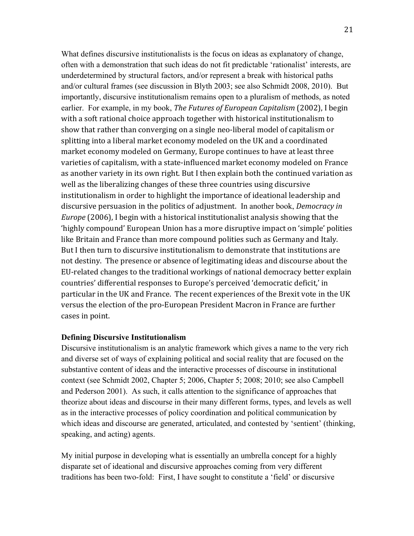What defines discursive institutionalists is the focus on ideas as explanatory of change, often with a demonstration that such ideas do not fit predictable 'rationalist' interests, are underdetermined by structural factors, and/or represent a break with historical paths and/or cultural frames (see discussion in Blyth 2003; see also Schmidt 2008, 2010). But importantly, discursive institutionalism remains open to a pluralism of methods, as noted earlier. For example, in my book, *The Futures of European Capitalism* (2002), I begin with a soft rational choice approach together with historical institutionalism to show that rather than converging on a single neo-liberal model of capitalism or splitting into a liberal market economy modeled on the UK and a coordinated market economy modeled on Germany, Europe continues to have at least three varieties of capitalism, with a state-influenced market economy modeled on France as another variety in its own right. But I then explain both the continued variation as well as the liberalizing changes of these three countries using discursive institutionalism in order to highlight the importance of ideational leadership and discursive persuasion in the politics of adjustment. In another book, *Democracy* in *Europe* (2006), I begin with a historical institutionalist analysis showing that the 'highly compound' European Union has a more disruptive impact on 'simple' polities like Britain and France than more compound polities such as Germany and Italy. But I then turn to discursive institutionalism to demonstrate that institutions are not destiny. The presence or absence of legitimating ideas and discourse about the EU-related changes to the traditional workings of national democracy better explain countries' differential responses to Europe's perceived 'democratic deficit,' in particular in the UK and France. The recent experiences of the Brexit vote in the UK versus the election of the pro-European President Macron in France are further cases in point.

#### **Defining Discursive Institutionalism**

Discursive institutionalism is an analytic framework which gives a name to the very rich and diverse set of ways of explaining political and social reality that are focused on the substantive content of ideas and the interactive processes of discourse in institutional context (see Schmidt 2002, Chapter 5; 2006, Chapter 5; 2008; 2010; see also Campbell and Pederson 2001). As such, it calls attention to the significance of approaches that theorize about ideas and discourse in their many different forms, types, and levels as well as in the interactive processes of policy coordination and political communication by which ideas and discourse are generated, articulated, and contested by 'sentient' (thinking, speaking, and acting) agents.

My initial purpose in developing what is essentially an umbrella concept for a highly disparate set of ideational and discursive approaches coming from very different traditions has been two-fold: First, I have sought to constitute a 'field' or discursive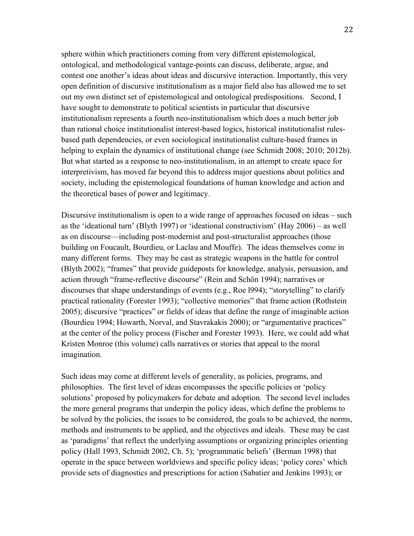sphere within which practitioners coming from very different epistemological, ontological, and methodological vantage-points can discuss, deliberate, argue, and contest one another's ideas about ideas and discursive interaction. Importantly, this very open definition of discursive institutionalism as a major field also has allowed me to set out my own distinct set of epistemological and ontological predispositions. Second, I have sought to demonstrate to political scientists in particular that discursive institutionalism represents a fourth neo-institutionalism which does a much better job than rational choice institutionalist interest-based logics, historical institutionalist rulesbased path dependencies, or even sociological institutionalist culture-based frames in helping to explain the dynamics of institutional change (see Schmidt 2008; 2010; 2012b). But what started as a response to neo-institutionalism, in an attempt to create space for interpretivism, has moved far beyond this to address major questions about politics and society, including the epistemological foundations of human knowledge and action and the theoretical bases of power and legitimacy.

Discursive institutionalism is open to a wide range of approaches focused on ideas – such as the 'ideational turn' (Blyth 1997) or 'ideational constructivism' (Hay 2006) – as well as on discourse—including post-modernist and post-structuralist approaches (those building on Foucault, Bourdieu, or Laclau and Mouffe). The ideas themselves come in many different forms. They may be cast as strategic weapons in the battle for control (Blyth 2002); "frames" that provide guideposts for knowledge, analysis, persuasion, and action through "frame-reflective discourse" (Rein and Schön 1994); narratives or discourses that shape understandings of events (e.g., Roe l994); "storytelling" to clarify practical rationality (Forester 1993); "collective memories" that frame action (Rothstein 2005); discursive "practices" or fields of ideas that define the range of imaginable action (Bourdieu 1994; Howarth, Norval, and Stavrakakis 2000); or "argumentative practices" at the center of the policy process (Fischer and Forester 1993). Here, we could add what Kristen Monroe (this volume) calls narratives or stories that appeal to the moral imagination.

Such ideas may come at different levels of generality, as policies, programs, and philosophies. The first level of ideas encompasses the specific policies or 'policy solutions' proposed by policymakers for debate and adoption. The second level includes the more general programs that underpin the policy ideas, which define the problems to be solved by the policies, the issues to be considered, the goals to be achieved, the norms, methods and instruments to be applied, and the objectives and ideals. These may be cast as 'paradigms' that reflect the underlying assumptions or organizing principles orienting policy (Hall 1993, Schmidt 2002, Ch. 5); 'programmatic beliefs' (Berman 1998) that operate in the space between worldviews and specific policy ideas; 'policy cores' which provide sets of diagnostics and prescriptions for action (Sabatier and Jenkins 1993); or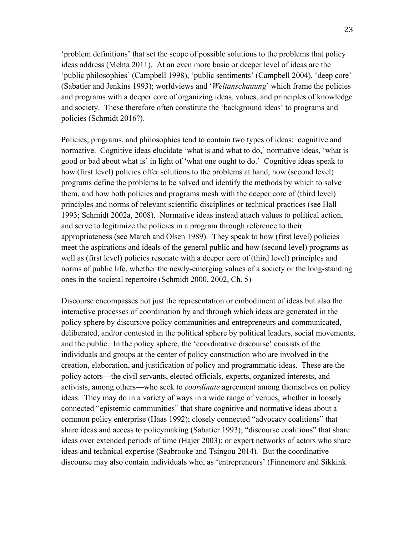'problem definitions' that set the scope of possible solutions to the problems that policy ideas address (Mehta 2011). At an even more basic or deeper level of ideas are the 'public philosophies' (Campbell 1998), 'public sentiments' (Campbell 2004), 'deep core' (Sabatier and Jenkins 1993); worldviews and '*Weltanschauung*' which frame the policies and programs with a deeper core of organizing ideas, values, and principles of knowledge and society. These therefore often constitute the 'background ideas' to programs and policies (Schmidt 2016?).

Policies, programs, and philosophies tend to contain two types of ideas: cognitive and normative. Cognitive ideas elucidate 'what is and what to do,' normative ideas, 'what is good or bad about what is' in light of 'what one ought to do.' Cognitive ideas speak to how (first level) policies offer solutions to the problems at hand, how (second level) programs define the problems to be solved and identify the methods by which to solve them, and how both policies and programs mesh with the deeper core of (third level) principles and norms of relevant scientific disciplines or technical practices (see Hall 1993; Schmidt 2002a, 2008). Normative ideas instead attach values to political action, and serve to legitimize the policies in a program through reference to their appropriateness (see March and Olsen 1989). They speak to how (first level) policies meet the aspirations and ideals of the general public and how (second level) programs as well as (first level) policies resonate with a deeper core of (third level) principles and norms of public life, whether the newly-emerging values of a society or the long-standing ones in the societal repertoire (Schmidt 2000, 2002, Ch. 5)

Discourse encompasses not just the representation or embodiment of ideas but also the interactive processes of coordination by and through which ideas are generated in the policy sphere by discursive policy communities and entrepreneurs and communicated, deliberated, and/or contested in the political sphere by political leaders, social movements, and the public. In the policy sphere, the 'coordinative discourse' consists of the individuals and groups at the center of policy construction who are involved in the creation, elaboration, and justification of policy and programmatic ideas. These are the policy actors—the civil servants, elected officials, experts, organized interests, and activists, among others—who seek to *coordinate* agreement among themselves on policy ideas. They may do in a variety of ways in a wide range of venues, whether in loosely connected "epistemic communities" that share cognitive and normative ideas about a common policy enterprise (Haas 1992); closely connected "advocacy coalitions" that share ideas and access to policymaking (Sabatier 1993); "discourse coalitions" that share ideas over extended periods of time (Hajer 2003); or expert networks of actors who share ideas and technical expertise (Seabrooke and Tsingou 2014)*.* But the coordinative discourse may also contain individuals who, as 'entrepreneurs' (Finnemore and Sikkink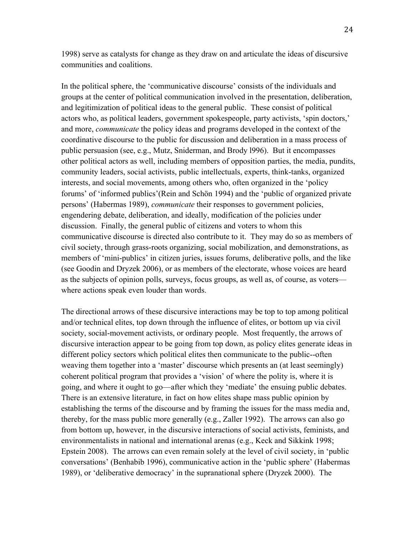1998) serve as catalysts for change as they draw on and articulate the ideas of discursive communities and coalitions.

In the political sphere, the 'communicative discourse' consists of the individuals and groups at the center of political communication involved in the presentation, deliberation, and legitimization of political ideas to the general public. These consist of political actors who, as political leaders, government spokespeople, party activists, 'spin doctors,' and more, *communicate* the policy ideas and programs developed in the context of the coordinative discourse to the public for discussion and deliberation in a mass process of public persuasion (see, e.g., Mutz, Sniderman, and Brody l996). But it encompasses other political actors as well, including members of opposition parties, the media, pundits, community leaders, social activists, public intellectuals, experts, think-tanks, organized interests, and social movements, among others who, often organized in the 'policy forums' of 'informed publics'(Rein and Schön 1994) and the 'public of organized private persons' (Habermas 1989), *communicate* their responses to government policies, engendering debate, deliberation, and ideally, modification of the policies under discussion. Finally, the general public of citizens and voters to whom this communicative discourse is directed also contribute to it. They may do so as members of civil society, through grass-roots organizing, social mobilization, and demonstrations, as members of 'mini-publics' in citizen juries, issues forums, deliberative polls, and the like (see Goodin and Dryzek 2006), or as members of the electorate, whose voices are heard as the subjects of opinion polls, surveys, focus groups, as well as, of course, as voters where actions speak even louder than words.

The directional arrows of these discursive interactions may be top to top among political and/or technical elites, top down through the influence of elites, or bottom up via civil society, social-movement activists, or ordinary people. Most frequently, the arrows of discursive interaction appear to be going from top down, as policy elites generate ideas in different policy sectors which political elites then communicate to the public--often weaving them together into a 'master' discourse which presents an (at least seemingly) coherent political program that provides a 'vision' of where the polity is, where it is going, and where it ought to go—after which they 'mediate' the ensuing public debates. There is an extensive literature, in fact on how elites shape mass public opinion by establishing the terms of the discourse and by framing the issues for the mass media and, thereby, for the mass public more generally (e.g., Zaller 1992). The arrows can also go from bottom up, however, in the discursive interactions of social activists, feminists, and environmentalists in national and international arenas (e.g., Keck and Sikkink 1998; Epstein 2008). The arrows can even remain solely at the level of civil society, in 'public conversations' (Benhabib 1996), communicative action in the 'public sphere' (Habermas 1989), or 'deliberative democracy' in the supranational sphere (Dryzek 2000). The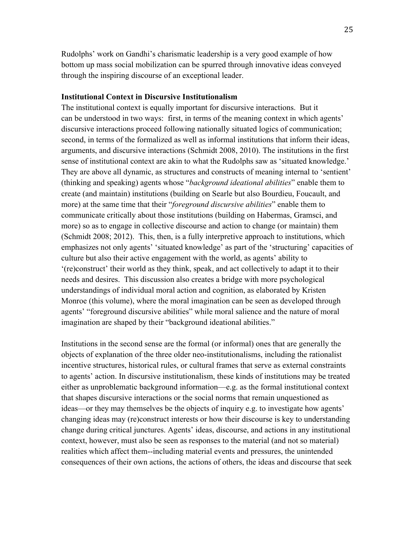Rudolphs' work on Gandhi's charismatic leadership is a very good example of how bottom up mass social mobilization can be spurred through innovative ideas conveyed through the inspiring discourse of an exceptional leader.

#### **Institutional Context in Discursive Institutionalism**

The institutional context is equally important for discursive interactions. But it can be understood in two ways: first, in terms of the meaning context in which agents' discursive interactions proceed following nationally situated logics of communication; second, in terms of the formalized as well as informal institutions that inform their ideas, arguments, and discursive interactions (Schmidt 2008, 2010). The institutions in the first sense of institutional context are akin to what the Rudolphs saw as 'situated knowledge.' They are above all dynamic, as structures and constructs of meaning internal to 'sentient' (thinking and speaking) agents whose "*background ideational abilities*" enable them to create (and maintain) institutions (building on Searle but also Bourdieu, Foucault, and more) at the same time that their "*foreground discursive abilities*" enable them to communicate critically about those institutions (building on Habermas, Gramsci, and more) so as to engage in collective discourse and action to change (or maintain) them (Schmidt 2008; 2012). This, then, is a fully interpretive approach to institutions, which emphasizes not only agents' 'situated knowledge' as part of the 'structuring' capacities of culture but also their active engagement with the world, as agents' ability to '(re)construct' their world as they think, speak, and act collectively to adapt it to their needs and desires. This discussion also creates a bridge with more psychological understandings of individual moral action and cognition, as elaborated by Kristen Monroe (this volume), where the moral imagination can be seen as developed through agents' "foreground discursive abilities" while moral salience and the nature of moral imagination are shaped by their "background ideational abilities."

Institutions in the second sense are the formal (or informal) ones that are generally the objects of explanation of the three older neo-institutionalisms, including the rationalist incentive structures, historical rules, or cultural frames that serve as external constraints to agents' action. In discursive institutionalism, these kinds of institutions may be treated either as unproblematic background information—e.g. as the formal institutional context that shapes discursive interactions or the social norms that remain unquestioned as ideas—or they may themselves be the objects of inquiry e.g. to investigate how agents' changing ideas may (re)construct interests or how their discourse is key to understanding change during critical junctures. Agents' ideas, discourse, and actions in any institutional context, however, must also be seen as responses to the material (and not so material) realities which affect them--including material events and pressures, the unintended consequences of their own actions, the actions of others, the ideas and discourse that seek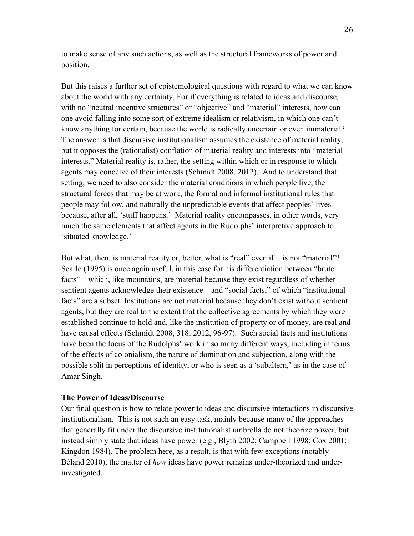to make sense of any such actions, as well as the structural frameworks of power and position.

But this raises a further set of epistemological questions with regard to what we can know about the world with any certainty. For if everything is related to ideas and discourse, with no "neutral incentive structures" or "objective" and "material" interests, how can one avoid falling into some sort of extreme idealism or relativism, in which one can't know anything for certain, because the world is radically uncertain or even immaterial? The answer is that discursive institutionalism assumes the existence of material reality, but it opposes the (rationalist) conflation of material reality and interests into "material interests." Material reality is, rather, the setting within which or in response to which agents may conceive of their interests (Schmidt 2008, 2012). And to understand that setting, we need to also consider the material conditions in which people live, the structural forces that may be at work, the formal and informal institutional rules that people may follow, and naturally the unpredictable events that affect peoples' lives because, after all, 'stuff happens.' Material reality encompasses, in other words, very much the same elements that affect agents in the Rudolphs' interpretive approach to 'situated knowledge.'

But what, then, is material reality or, better, what is "real" even if it is not "material"? Searle (1995) is once again useful, in this case for his differentiation between "brute facts"—which, like mountains, are material because they exist regardless of whether sentient agents acknowledge their existence—and "social facts," of which "institutional facts" are a subset. Institutions are not material because they don't exist without sentient agents, but they are real to the extent that the collective agreements by which they were established continue to hold and, like the institution of property or of money, are real and have causal effects (Schmidt 2008, 318; 2012, 96-97). Such social facts and institutions have been the focus of the Rudolphs' work in so many different ways, including in terms of the effects of colonialism, the nature of domination and subjection, along with the possible split in perceptions of identity, or who is seen as a 'subaltern,' as in the case of Amar Singh.

# **The Power of Ideas/Discourse**

Our final question is how to relate power to ideas and discursive interactions in discursive institutionalism. This is not such an easy task, mainly because many of the approaches that generally fit under the discursive institutionalist umbrella do not theorize power, but instead simply state that ideas have power (e.g., Blyth 2002; Campbell 1998; Cox 2001; Kingdon 1984). The problem here, as a result, is that with few exceptions (notably Béland 2010), the matter of *how* ideas have power remains under-theorized and underinvestigated.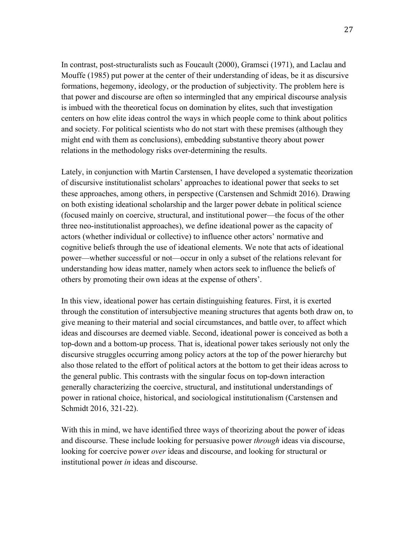In contrast, post-structuralists such as Foucault (2000), Gramsci (1971), and Laclau and Mouffe (1985) put power at the center of their understanding of ideas, be it as discursive formations, hegemony, ideology, or the production of subjectivity. The problem here is that power and discourse are often so intermingled that any empirical discourse analysis is imbued with the theoretical focus on domination by elites, such that investigation centers on how elite ideas control the ways in which people come to think about politics and society. For political scientists who do not start with these premises (although they might end with them as conclusions), embedding substantive theory about power relations in the methodology risks over-determining the results.

Lately, in conjunction with Martin Carstensen, I have developed a systematic theorization of discursive institutionalist scholars' approaches to ideational power that seeks to set these approaches, among others, in perspective (Carstensen and Schmidt 2016). Drawing on both existing ideational scholarship and the larger power debate in political science (focused mainly on coercive, structural, and institutional power—the focus of the other three neo-institutionalist approaches), we define ideational power as the capacity of actors (whether individual or collective) to influence other actors' normative and cognitive beliefs through the use of ideational elements. We note that acts of ideational power—whether successful or not—occur in only a subset of the relations relevant for understanding how ideas matter, namely when actors seek to influence the beliefs of others by promoting their own ideas at the expense of others'.

In this view, ideational power has certain distinguishing features. First, it is exerted through the constitution of intersubjective meaning structures that agents both draw on, to give meaning to their material and social circumstances, and battle over, to affect which ideas and discourses are deemed viable. Second, ideational power is conceived as both a top-down and a bottom-up process. That is, ideational power takes seriously not only the discursive struggles occurring among policy actors at the top of the power hierarchy but also those related to the effort of political actors at the bottom to get their ideas across to the general public. This contrasts with the singular focus on top-down interaction generally characterizing the coercive, structural, and institutional understandings of power in rational choice, historical, and sociological institutionalism (Carstensen and Schmidt 2016, 321-22).

With this in mind, we have identified three ways of theorizing about the power of ideas and discourse. These include looking for persuasive power *through* ideas via discourse, looking for coercive power *over* ideas and discourse, and looking for structural or institutional power *in* ideas and discourse.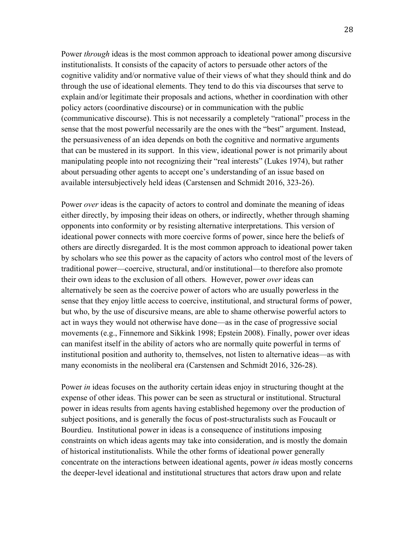Power *through* ideas is the most common approach to ideational power among discursive institutionalists. It consists of the capacity of actors to persuade other actors of the cognitive validity and/or normative value of their views of what they should think and do through the use of ideational elements. They tend to do this via discourses that serve to explain and/or legitimate their proposals and actions, whether in coordination with other policy actors (coordinative discourse) or in communication with the public (communicative discourse). This is not necessarily a completely "rational" process in the sense that the most powerful necessarily are the ones with the "best" argument. Instead, the persuasiveness of an idea depends on both the cognitive and normative arguments that can be mustered in its support. In this view, ideational power is not primarily about manipulating people into not recognizing their "real interests" (Lukes 1974), but rather about persuading other agents to accept one's understanding of an issue based on available intersubjectively held ideas (Carstensen and Schmidt 2016, 323-26).

Power *over* ideas is the capacity of actors to control and dominate the meaning of ideas either directly, by imposing their ideas on others, or indirectly, whether through shaming opponents into conformity or by resisting alternative interpretations. This version of ideational power connects with more coercive forms of power, since here the beliefs of others are directly disregarded. It is the most common approach to ideational power taken by scholars who see this power as the capacity of actors who control most of the levers of traditional power—coercive, structural, and/or institutional—to therefore also promote their own ideas to the exclusion of all others. However, power *over* ideas can alternatively be seen as the coercive power of actors who are usually powerless in the sense that they enjoy little access to coercive, institutional, and structural forms of power, but who, by the use of discursive means, are able to shame otherwise powerful actors to act in ways they would not otherwise have done—as in the case of progressive social movements (e.g., Finnemore and Sikkink 1998; Epstein 2008). Finally, power over ideas can manifest itself in the ability of actors who are normally quite powerful in terms of institutional position and authority to, themselves, not listen to alternative ideas—as with many economists in the neoliberal era (Carstensen and Schmidt 2016, 326-28).

Power *in* ideas focuses on the authority certain ideas enjoy in structuring thought at the expense of other ideas. This power can be seen as structural or institutional. Structural power in ideas results from agents having established hegemony over the production of subject positions, and is generally the focus of post-structuralists such as Foucault or Bourdieu. Institutional power in ideas is a consequence of institutions imposing constraints on which ideas agents may take into consideration, and is mostly the domain of historical institutionalists. While the other forms of ideational power generally concentrate on the interactions between ideational agents, power *in* ideas mostly concerns the deeper-level ideational and institutional structures that actors draw upon and relate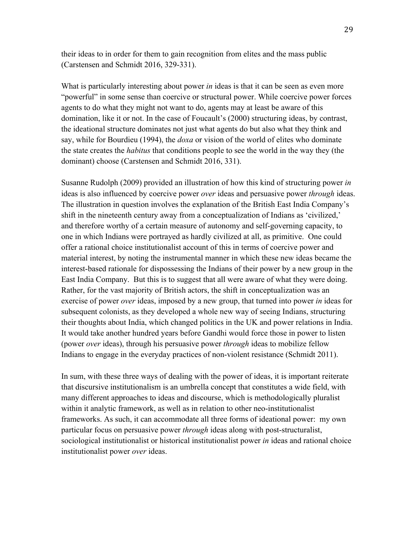their ideas to in order for them to gain recognition from elites and the mass public (Carstensen and Schmidt 2016, 329-331).

What is particularly interesting about power *in* ideas is that it can be seen as even more "powerful" in some sense than coercive or structural power. While coercive power forces agents to do what they might not want to do, agents may at least be aware of this domination, like it or not. In the case of Foucault's (2000) structuring ideas, by contrast, the ideational structure dominates not just what agents do but also what they think and say, while for Bourdieu (1994), the *doxa* or vision of the world of elites who dominate the state creates the *habitus* that conditions people to see the world in the way they (the dominant) choose (Carstensen and Schmidt 2016, 331).

Susanne Rudolph (2009) provided an illustration of how this kind of structuring power *in*  ideas is also influenced by coercive power *over* ideas and persuasive power *through* ideas. The illustration in question involves the explanation of the British East India Company's shift in the nineteenth century away from a conceptualization of Indians as 'civilized,' and therefore worthy of a certain measure of autonomy and self-governing capacity, to one in which Indians were portrayed as hardly civilized at all, as primitive. One could offer a rational choice institutionalist account of this in terms of coercive power and material interest, by noting the instrumental manner in which these new ideas became the interest-based rationale for dispossessing the Indians of their power by a new group in the East India Company. But this is to suggest that all were aware of what they were doing. Rather, for the vast majority of British actors, the shift in conceptualization was an exercise of power *over* ideas, imposed by a new group, that turned into power *in* ideas for subsequent colonists, as they developed a whole new way of seeing Indians, structuring their thoughts about India, which changed politics in the UK and power relations in India. It would take another hundred years before Gandhi would force those in power to listen (power *over* ideas), through his persuasive power *through* ideas to mobilize fellow Indians to engage in the everyday practices of non-violent resistance (Schmidt 2011).

In sum, with these three ways of dealing with the power of ideas, it is important reiterate that discursive institutionalism is an umbrella concept that constitutes a wide field, with many different approaches to ideas and discourse, which is methodologically pluralist within it analytic framework, as well as in relation to other neo-institutionalist frameworks. As such, it can accommodate all three forms of ideational power: my own particular focus on persuasive power *through* ideas along with post-structuralist, sociological institutionalist or historical institutionalist power *in* ideas and rational choice institutionalist power *over* ideas.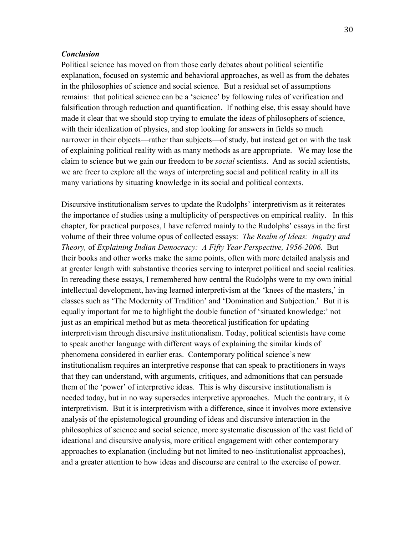#### *Conclusion*

Political science has moved on from those early debates about political scientific explanation, focused on systemic and behavioral approaches, as well as from the debates in the philosophies of science and social science. But a residual set of assumptions remains: that political science can be a 'science' by following rules of verification and falsification through reduction and quantification. If nothing else, this essay should have made it clear that we should stop trying to emulate the ideas of philosophers of science, with their idealization of physics, and stop looking for answers in fields so much narrower in their objects—rather than subjects—of study, but instead get on with the task of explaining political reality with as many methods as are appropriate. We may lose the claim to science but we gain our freedom to be *social* scientists. And as social scientists, we are freer to explore all the ways of interpreting social and political reality in all its many variations by situating knowledge in its social and political contexts.

Discursive institutionalism serves to update the Rudolphs' interpretivism as it reiterates the importance of studies using a multiplicity of perspectives on empirical reality. In this chapter, for practical purposes, I have referred mainly to the Rudolphs' essays in the first volume of their three volume opus of collected essays: *The Realm of Ideas: Inquiry and Theory,* of *Explaining Indian Democracy: A Fifty Year Perspective, 1956-2006*. But their books and other works make the same points, often with more detailed analysis and at greater length with substantive theories serving to interpret political and social realities. In rereading these essays, I remembered how central the Rudolphs were to my own initial intellectual development, having learned interpretivism at the 'knees of the masters,' in classes such as 'The Modernity of Tradition' and 'Domination and Subjection.' But it is equally important for me to highlight the double function of 'situated knowledge:' not just as an empirical method but as meta-theoretical justification for updating interpretivism through discursive institutionalism. Today, political scientists have come to speak another language with different ways of explaining the similar kinds of phenomena considered in earlier eras. Contemporary political science's new institutionalism requires an interpretive response that can speak to practitioners in ways that they can understand, with arguments, critiques, and admonitions that can persuade them of the 'power' of interpretive ideas. This is why discursive institutionalism is needed today, but in no way supersedes interpretive approaches. Much the contrary, it *is* interpretivism. But it is interpretivism with a difference, since it involves more extensive analysis of the epistemological grounding of ideas and discursive interaction in the philosophies of science and social science, more systematic discussion of the vast field of ideational and discursive analysis, more critical engagement with other contemporary approaches to explanation (including but not limited to neo-institutionalist approaches), and a greater attention to how ideas and discourse are central to the exercise of power.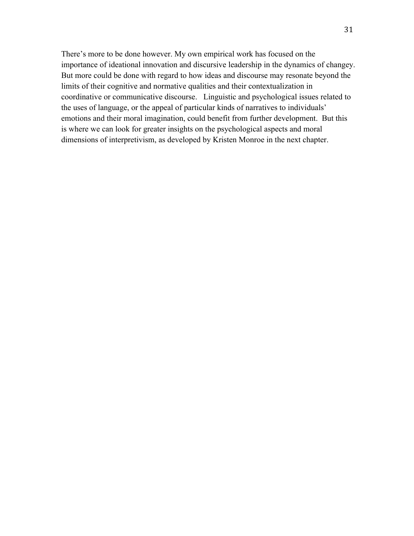There's more to be done however. My own empirical work has focused on the importance of ideational innovation and discursive leadership in the dynamics of changey. But more could be done with regard to how ideas and discourse may resonate beyond the limits of their cognitive and normative qualities and their contextualization in coordinative or communicative discourse. Linguistic and psychological issues related to the uses of language, or the appeal of particular kinds of narratives to individuals' emotions and their moral imagination, could benefit from further development. But this is where we can look for greater insights on the psychological aspects and moral dimensions of interpretivism, as developed by Kristen Monroe in the next chapter.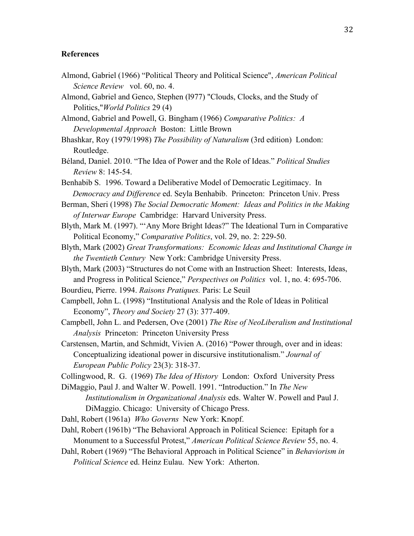#### **References**

- Almond, Gabriel (1966) "Political Theory and Political Science", *American Political Science Review* vol. 60, no. 4.
- Almond, Gabriel and Genco, Stephen (l977) "Clouds, Clocks, and the Study of Politics,"*World Politics* 29 (4)
- Almond, Gabriel and Powell, G. Bingham (1966) *Comparative Politics: A Developmental Approach* Boston: Little Brown
- Bhashkar, Roy (1979/1998) *The Possibility of Naturalism* (3rd edition) London: Routledge.
- Béland, Daniel. 2010. "The Idea of Power and the Role of Ideas." *Political Studies Review* 8: 145-54.
- Benhabib S. 1996. Toward a Deliberative Model of Democratic Legitimacy. In *Democracy and Difference* ed. Seyla Benhabib. Princeton: Princeton Univ. Press
- Berman, Sheri (1998) *The Social Democratic Moment: Ideas and Politics in the Making of Interwar Europe* Cambridge: Harvard University Press.
- Blyth, Mark M. (1997). "'Any More Bright Ideas?" The Ideational Turn in Comparative Political Economy," *Comparative Politics*, vol. 29, no. 2: 229-50.
- Blyth, Mark (2002) *Great Transformations: Economic Ideas and Institutional Change in the Twentieth Century* New York: Cambridge University Press.
- Blyth, Mark (2003) "Structures do not Come with an Instruction Sheet: Interests, Ideas, and Progress in Political Science," *Perspectives on Politics* vol. 1, no. 4: 695-706.
- Bourdieu, Pierre. 1994. *Raisons Pratiques.* Paris: Le Seuil
- Campbell, John L. (1998) "Institutional Analysis and the Role of Ideas in Political Economy", *Theory and Society* 27 (3): 377-409.
- Campbell, John L. and Pedersen, Ove (2001) *The Rise of NeoLiberalism and Institutional Analysis* Princeton: Princeton University Press
- Carstensen, Martin, and Schmidt, Vivien A. (2016) "Power through, over and in ideas: Conceptualizing ideational power in discursive institutionalism." *Journal of European Public Policy* 23(3): 318-37.
- Collingwood, R. G. (1969) *The Idea of History* London: Oxford University Press
- DiMaggio, Paul J. and Walter W. Powell. 1991. "Introduction." In *The New Institutionalism in Organizational Analysis* eds. Walter W. Powell and Paul J. DiMaggio. Chicago: University of Chicago Press.
- Dahl, Robert (1961a) *Who Governs* New York: Knopf.
- Dahl, Robert (1961b) "The Behavioral Approach in Political Science: Epitaph for a Monument to a Successful Protest," *American Political Science Review* 55, no. 4.
- Dahl, Robert (1969) "The Behavioral Approach in Political Science" in *Behaviorism in Political Science* ed. Heinz Eulau. New York: Atherton.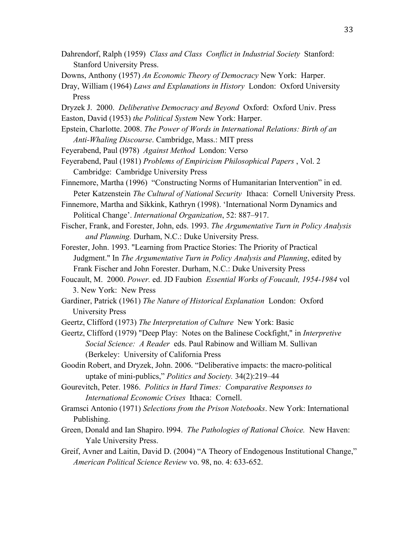- Dahrendorf, Ralph (1959) *Class and Class Conflict in Industrial Society* Stanford: Stanford University Press.
- Downs, Anthony (1957) *An Economic Theory of Democracy* New York: Harper.
- Dray, William (1964) *Laws and Explanations in History* London: Oxford University Press
- Dryzek J. 2000. *Deliberative Democracy and Beyond* Oxford: Oxford Univ. Press Easton, David (1953) *the Political System* New York: Harper.
- Epstein, Charlotte. 2008. *The Power of Words in International Relations: Birth of an Anti-Whaling Discourse*. Cambridge, Mass.: MIT press
- Feyerabend, Paul (l978) *Against Method* London: Verso
- Feyerabend, Paul (1981) *Problems of Empiricism Philosophical Papers* , Vol. 2 Cambridge: Cambridge University Press
- Finnemore, Martha (1996) "Constructing Norms of Humanitarian Intervention" in ed. Peter Katzenstein *The Cultural of National Security* Ithaca: Cornell University Press.
- Finnemore, Martha and Sikkink, Kathryn (1998). 'International Norm Dynamics and Political Change'. *International Organization*, 52: 887–917.
- Fischer, Frank, and Forester, John, eds. 1993. *The Argumentative Turn in Policy Analysis and Planning.* Durham, N.C.: Duke University Press.
- Forester, John. 1993. "Learning from Practice Stories: The Priority of Practical Judgment." In *The Argumentative Turn in Policy Analysis and Planning*, edited by Frank Fischer and John Forester. Durham, N.C.: Duke University Press
- Foucault, M. 2000. *Power.* ed. JD Faubion *Essential Works of Foucault, 1954-1984* vol 3. New York: New Press
- Gardiner, Patrick (1961) *The Nature of Historical Explanation* London: Oxford University Press
- Geertz, Clifford (1973) *The Interpretation of Culture* New York: Basic
- Geertz, Clifford (1979) "Deep Play: Notes on the Balinese Cockfight," in *Interpretive Social Science: A Reader* eds. Paul Rabinow and William M. Sullivan (Berkeley: University of California Press
- Goodin Robert, and Dryzek, John. 2006. "Deliberative impacts: the macro-political uptake of mini-publics," *Politics and Society.* 34(2):219–44
- Gourevitch, Peter. 1986. *Politics in Hard Times: Comparative Responses to International Economic Crises* Ithaca: Cornell.
- Gramsci Antonio (1971) *Selections from the Prison Notebooks*. New York: International Publishing.
- Green, Donald and Ian Shapiro. l994. *The Pathologies of Rational Choice.* New Haven: Yale University Press.
- Greif, Avner and Laitin, David D. (2004) "A Theory of Endogenous Institutional Change," *American Political Science Review* vo. 98, no. 4: 633-652.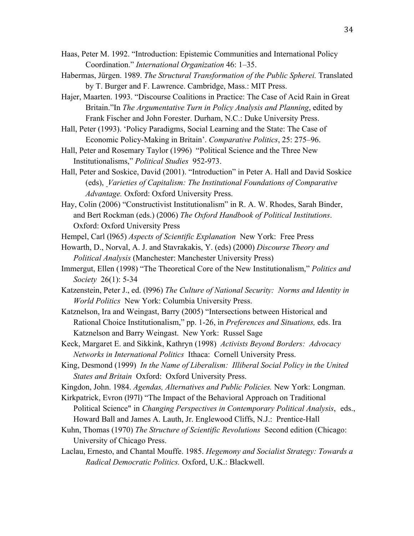- Haas, Peter M. 1992. "Introduction: Epistemic Communities and International Policy Coordination." *International Organization* 46: 1–35.
- Habermas, Jürgen. 1989. *The Structural Transformation of the Public Spherei.* Translated by T. Burger and F. Lawrence. Cambridge, Mass.: MIT Press.
- Hajer, Maarten. 1993. "Discourse Coalitions in Practice: The Case of Acid Rain in Great Britain."In *The Argumentative Turn in Policy Analysis and Planning*, edited by Frank Fischer and John Forester. Durham, N.C.: Duke University Press.
- Hall, Peter (1993). 'Policy Paradigms, Social Learning and the State: The Case of Economic Policy-Making in Britain'. *Comparative Politics*, 25: 275–96.
- Hall, Peter and Rosemary Taylor (1996) "Political Science and the Three New Institutionalisms," *Political Studies* 952-973.
- Hall, Peter and Soskice, David (2001). "Introduction" in Peter A. Hall and David Soskice (eds), *Varieties of Capitalism: The Institutional Foundations of Comparative Advantage.* Oxford: Oxford University Press.
- Hay, Colin (2006) "Constructivist Institutionalism" in R. A. W. Rhodes, Sarah Binder, and Bert Rockman (eds.) (2006) *The Oxford Handbook of Political Institutions*. Oxford: Oxford University Press
- Hempel, Carl (l965) *Aspects of Scientific Explanation* New York: Free Press
- Howarth, D., Norval, A. J. and Stavrakakis, Y. (eds) (2000) *Discourse Theory and Political Analysis* (Manchester: Manchester University Press)
- Immergut, Ellen (1998) "The Theoretical Core of the New Institutionalism," *Politics and Society* 26(1): 5-34
- Katzenstein, Peter J., ed. (l996) *The Culture of National Security: Norms and Identity in World Politics* New York: Columbia University Press.
- Katznelson, Ira and Weingast, Barry (2005) "Intersections between Historical and Rational Choice Institutionalism," pp. 1-26, in *Preferences and Situations,* eds. Ira Katznelson and Barry Weingast. New York: Russel Sage
- Keck, Margaret E. and Sikkink, Kathryn (1998) *Activists Beyond Borders: Advocacy Networks in International Politics* Ithaca: Cornell University Press.
- King, Desmond (1999) *In the Name of Liberalism: Illiberal Social Policy in the United States and Britain* Oxford: Oxford University Press.
- Kingdon, John. 1984. *Agendas, Alternatives and Public Policies.* New York: Longman.
- Kirkpatrick, Evron (l97l) "The Impact of the Behavioral Approach on Traditional Political Science" in *Changing Perspectives in Contemporary Political Analysis*, eds., Howard Ball and James A. Lauth, Jr. Englewood Cliffs, N.J.: Prentice-Hall
- Kuhn, Thomas (1970) *The Structure of Scientific Revolutions* Second edition (Chicago: University of Chicago Press.
- Laclau, Ernesto, and Chantal Mouffe. 1985. *Hegemony and Socialist Strategy: Towards a Radical Democratic Politics.* Oxford, U.K.: Blackwell.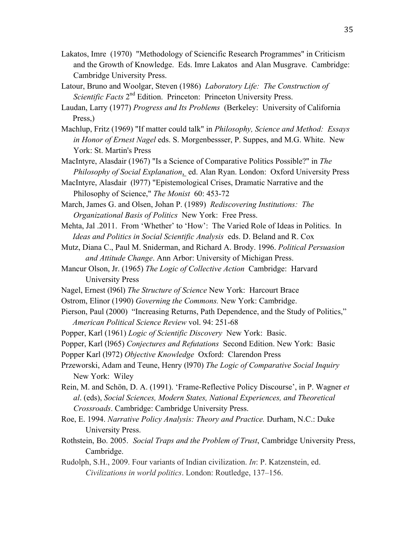- Lakatos, Imre (1970) "Methodology of Sciencific Research Programmes" in Criticism and the Growth of Knowledge. Eds. Imre Lakatos and Alan Musgrave. Cambridge: Cambridge University Press.
- Latour, Bruno and Woolgar, Steven (1986) *Laboratory Life: The Construction of Scientific Facts*  $2<sup>nd</sup>$  Edition. Princeton: Princeton University Press.
- Laudan, Larry (1977) *Progress and Its Problems* (Berkeley: University of California Press,)
- Machlup, Fritz (1969) "If matter could talk" in *Philosophy, Science and Method: Essays in Honor of Ernest Nagel* eds. S. Morgenbessser, P. Suppes, and M.G. White. New York: St. Martin's Press
- MacIntyre, Alasdair (1967) "Is a Science of Comparative Politics Possible?" in *The Philosophy of Social Explanation*, ed. Alan Ryan. London: Oxford University Press
- MacIntyre, Alasdair (l977) "Epistemological Crises, Dramatic Narrative and the Philosophy of Science," *The Monist* 60: 453-72
- March, James G. and Olsen, Johan P. (1989) *Rediscovering Institutions: The Organizational Basis of Politics* New York: Free Press.
- Mehta, Jal .2011. From 'Whether' to 'How': The Varied Role of Ideas in Politics. In *Ideas and Politics in Social Scientific Analysis* eds. D. Beland and R. Cox
- Mutz, Diana C., Paul M. Sniderman, and Richard A. Brody. 1996. *Political Persuasion and Attitude Change*. Ann Arbor: University of Michigan Press.
- Mancur Olson, Jr. (1965) *The Logic of Collective Action* Cambridge: Harvard University Press
- Nagel, Ernest (l96l) *The Structure of Science* New York: Harcourt Brace
- Ostrom, Elinor (1990) *Governing the Commons.* New York: Cambridge.
- Pierson, Paul (2000) "Increasing Returns, Path Dependence, and the Study of Politics," *American Political Science Review* vol. 94: 251-68
- Popper, Karl (1961) *Logic of Scientific Discovery* New York: Basic.
- Popper, Karl (l965) *Conjectures and Refutations* Second Edition. New York: Basic
- Popper Karl (l972) *Objective Knowledge* Oxford: Clarendon Press
- Przeworski, Adam and Teune, Henry (l970) *The Logic of Comparative Social Inquiry* New York: Wiley
- Rein, M. and Schön, D. A. (1991). 'Frame-Reflective Policy Discourse', in P. Wagner *et al*. (eds), *Social Sciences, Modern States, National Experiences, and Theoretical Crossroads*. Cambridge: Cambridge University Press.
- Roe, E. 1994. *Narrative Policy Analysis: Theory and Practice.* Durham, N.C.: Duke University Press.
- Rothstein, Bo. 2005. *Social Traps and the Problem of Trust*, Cambridge University Press, Cambridge.
- Rudolph, S.H., 2009. Four variants of Indian civilization. *In*: P. Katzenstein, ed. *Civilizations in world politics*. London: Routledge, 137–156.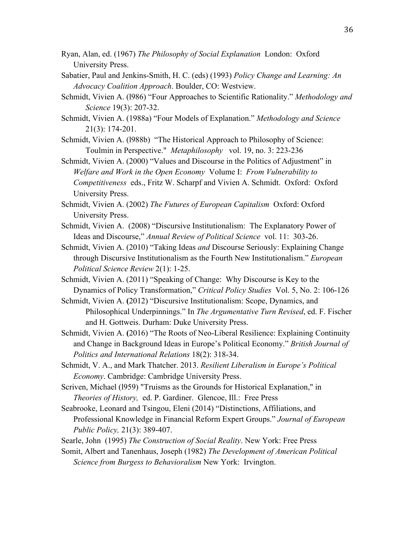- Ryan, Alan, ed. (1967) *The Philosophy of Social Explanation* London: Oxford University Press.
- Sabatier, Paul and Jenkins-Smith, H. C. (eds) (1993) *Policy Change and Learning: An Advocacy Coalition Approach*. Boulder, CO: Westview.
- Schmidt, Vivien A. (l986) "Four Approaches to Scientific Rationality." *Methodology and Science* 19(3): 207-32.
- Schmidt, Vivien A. (1988a) "Four Models of Explanation." *Methodology and Science* 21(3): 174-201.
- Schmidt, Vivien A. (l988b) "The Historical Approach to Philosophy of Science: Toulmin in Perspective." *Metaphilosophy* vol. 19, no. 3: 223-236
- Schmidt, Vivien A. (2000) "Values and Discourse in the Politics of Adjustment" in *Welfare and Work in the Open Economy* Volume I: *From Vulnerability to Competitiveness* eds., Fritz W. Scharpf and Vivien A. Schmidt. Oxford: Oxford University Press.
- Schmidt, Vivien A. (2002) *The Futures of European Capitalism* Oxford: Oxford University Press.
- Schmidt, Vivien A. (2008) "Discursive Institutionalism: The Explanatory Power of Ideas and Discourse," *Annual Review of Political Science* vol. 11: 303-26.
- Schmidt, Vivien A. (2010) "Taking Ideas *and* Discourse Seriously: Explaining Change through Discursive Institutionalism as the Fourth New Institutionalism." *European Political Science Review* 2(1): 1-25.
- Schmidt, Vivien A. (2011) "Speaking of Change: Why Discourse is Key to the Dynamics of Policy Transformation," *Critical Policy Studies* Vol. 5, No. 2: 106-126
- Schmidt, Vivien A. **(**2012) "Discursive Institutionalism: Scope, Dynamics, and Philosophical Underpinnings." In *The Argumentative Turn Revised*, ed. F. Fischer and H. Gottweis. Durham: Duke University Press.
- Schmidt, Vivien A. **(**2016) "The Roots of Neo-Liberal Resilience: Explaining Continuity and Change in Background Ideas in Europe's Political Economy." *British Journal of Politics and International Relations* 18(2): 318-34.
- Schmidt, V. A., and Mark Thatcher. 2013. *Resilient Liberalism in Europe's Political Economy*. Cambridge: Cambridge University Press.
- Scriven, Michael (l959) "Truisms as the Grounds for Historical Explanation," in *Theories of History,* ed. P. Gardiner. Glencoe, Ill.: Free Press
- Seabrooke, Leonard and Tsingou, Eleni (2014) "Distinctions, Affiliations, and Professional Knowledge in Financial Reform Expert Groups." *Journal of European Public Policy,* 21(3): 389-407.
- Searle, John (1995) *The Construction of Social Reality*. New York: Free Press
- Somit, Albert and Tanenhaus, Joseph (1982) *The Development of American Political Science from Burgess to Behavioralism* New York: Irvington.